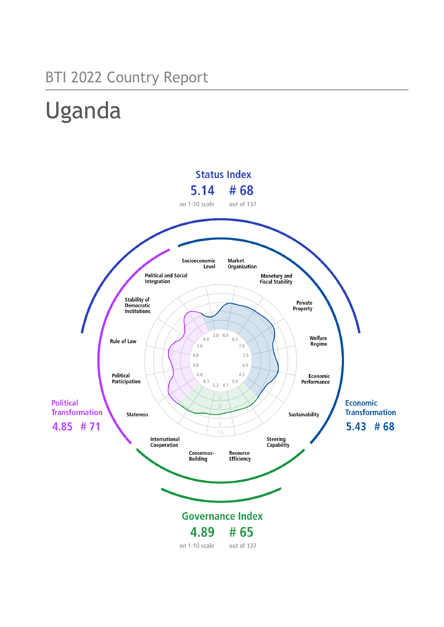## BTI 2022 Country Report

# Uganda

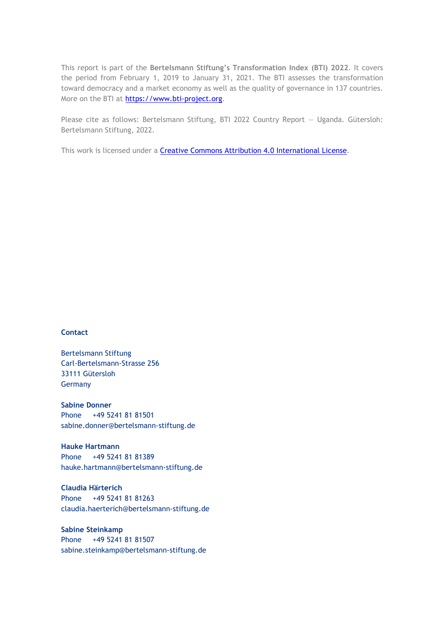This report is part of the **Bertelsmann Stiftung's Transformation Index (BTI) 2022**. It covers the period from February 1, 2019 to January 31, 2021. The BTI assesses the transformation toward democracy and a market economy as well as the quality of governance in 137 countries. More on the BTI at [https://www.bti-project.org.](https://www.bti-project.org/)

Please cite as follows: Bertelsmann Stiftung, BTI 2022 Country Report — Uganda. Gütersloh: Bertelsmann Stiftung, 2022.

This work is licensed under a **Creative Commons Attribution 4.0 International License**.

#### **Contact**

Bertelsmann Stiftung Carl-Bertelsmann-Strasse 256 33111 Gütersloh Germany

**Sabine Donner** Phone +49 5241 81 81501 sabine.donner@bertelsmann-stiftung.de

**Hauke Hartmann** Phone +49 5241 81 81389 hauke.hartmann@bertelsmann-stiftung.de

**Claudia Härterich** Phone +49 5241 81 81263 claudia.haerterich@bertelsmann-stiftung.de

#### **Sabine Steinkamp** Phone +49 5241 81 81507 sabine.steinkamp@bertelsmann-stiftung.de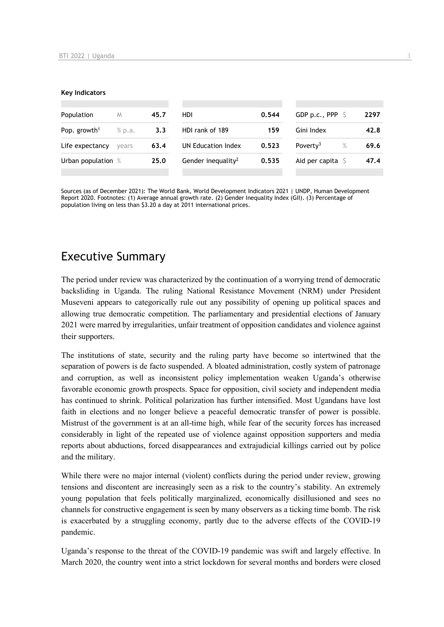#### **Key Indicators**

| Population               | M      | 45.7 | HDI                            | 0.544 | GDP p.c., PPP $\ S$          | 2297 |
|--------------------------|--------|------|--------------------------------|-------|------------------------------|------|
| Pop. growth <sup>1</sup> | % p.a. | 3.3  | HDI rank of 189<br>159         |       | Gini Index                   | 42.8 |
| Life expectancy          | vears  | 63.4 | UN Education Index             | 0.523 | Poverty <sup>3</sup><br>$\%$ | 69.6 |
| Urban population %       |        | 25.0 | Gender inequality <sup>2</sup> | 0.535 | Aid per capita $\sqrt{5}$    | 47.4 |
|                          |        |      |                                |       |                              |      |

Sources (as of December 2021): The World Bank, World Development Indicators 2021 | UNDP, Human Development Report 2020. Footnotes: (1) Average annual growth rate. (2) Gender Inequality Index (GII). (3) Percentage of population living on less than \$3.20 a day at 2011 international prices.

## Executive Summary

The period under review was characterized by the continuation of a worrying trend of democratic backsliding in Uganda. The ruling National Resistance Movement (NRM) under President Museveni appears to categorically rule out any possibility of opening up political spaces and allowing true democratic competition. The parliamentary and presidential elections of January 2021 were marred by irregularities, unfair treatment of opposition candidates and violence against their supporters.

The institutions of state, security and the ruling party have become so intertwined that the separation of powers is de facto suspended. A bloated administration, costly system of patronage and corruption, as well as inconsistent policy implementation weaken Uganda's otherwise favorable economic growth prospects. Space for opposition, civil society and independent media has continued to shrink. Political polarization has further intensified. Most Ugandans have lost faith in elections and no longer believe a peaceful democratic transfer of power is possible. Mistrust of the government is at an all-time high, while fear of the security forces has increased considerably in light of the repeated use of violence against opposition supporters and media reports about abductions, forced disappearances and extrajudicial killings carried out by police and the military.

While there were no major internal (violent) conflicts during the period under review, growing tensions and discontent are increasingly seen as a risk to the country's stability. An extremely young population that feels politically marginalized, economically disillusioned and sees no channels for constructive engagement is seen by many observers as a ticking time bomb. The risk is exacerbated by a struggling economy, partly due to the adverse effects of the COVID-19 pandemic.

Uganda's response to the threat of the COVID-19 pandemic was swift and largely effective. In March 2020, the country went into a strict lockdown for several months and borders were closed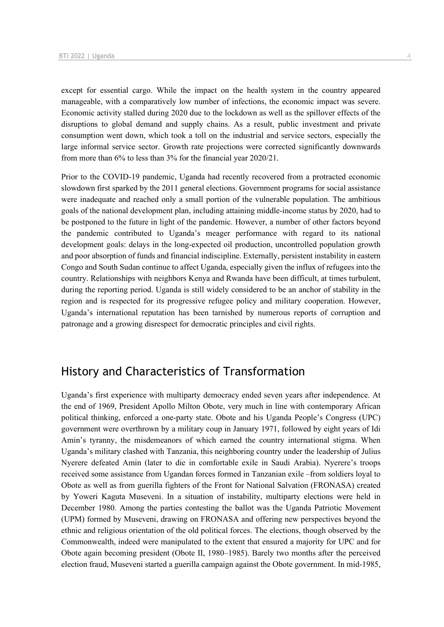except for essential cargo. While the impact on the health system in the country appeared manageable, with a comparatively low number of infections, the economic impact was severe. Economic activity stalled during 2020 due to the lockdown as well as the spillover effects of the disruptions to global demand and supply chains. As a result, public investment and private consumption went down, which took a toll on the industrial and service sectors, especially the large informal service sector. Growth rate projections were corrected significantly downwards from more than 6% to less than 3% for the financial year 2020/21.

Prior to the COVID-19 pandemic, Uganda had recently recovered from a protracted economic slowdown first sparked by the 2011 general elections. Government programs for social assistance were inadequate and reached only a small portion of the vulnerable population. The ambitious goals of the national development plan, including attaining middle-income status by 2020, had to be postponed to the future in light of the pandemic. However, a number of other factors beyond the pandemic contributed to Uganda's meager performance with regard to its national development goals: delays in the long-expected oil production, uncontrolled population growth and poor absorption of funds and financial indiscipline. Externally, persistent instability in eastern Congo and South Sudan continue to affect Uganda, especially given the influx of refugees into the country. Relationships with neighbors Kenya and Rwanda have been difficult, at times turbulent, during the reporting period. Uganda is still widely considered to be an anchor of stability in the region and is respected for its progressive refugee policy and military cooperation. However, Uganda's international reputation has been tarnished by numerous reports of corruption and patronage and a growing disrespect for democratic principles and civil rights.

## History and Characteristics of Transformation

Uganda's first experience with multiparty democracy ended seven years after independence. At the end of 1969, President Apollo Milton Obote, very much in line with contemporary African political thinking, enforced a one-party state. Obote and his Uganda People's Congress (UPC) government were overthrown by a military coup in January 1971, followed by eight years of Idi Amin's tyranny, the misdemeanors of which earned the country international stigma. When Uganda's military clashed with Tanzania, this neighboring country under the leadership of Julius Nyerere defeated Amin (later to die in comfortable exile in Saudi Arabia). Nyerere's troops received some assistance from Ugandan forces formed in Tanzanian exile –from soldiers loyal to Obote as well as from guerilla fighters of the Front for National Salvation (FRONASA) created by Yoweri Kaguta Museveni. In a situation of instability, multiparty elections were held in December 1980. Among the parties contesting the ballot was the Uganda Patriotic Movement (UPM) formed by Museveni, drawing on FRONASA and offering new perspectives beyond the ethnic and religious orientation of the old political forces. The elections, though observed by the Commonwealth, indeed were manipulated to the extent that ensured a majority for UPC and for Obote again becoming president (Obote II, 1980–1985). Barely two months after the perceived election fraud, Museveni started a guerilla campaign against the Obote government. In mid-1985,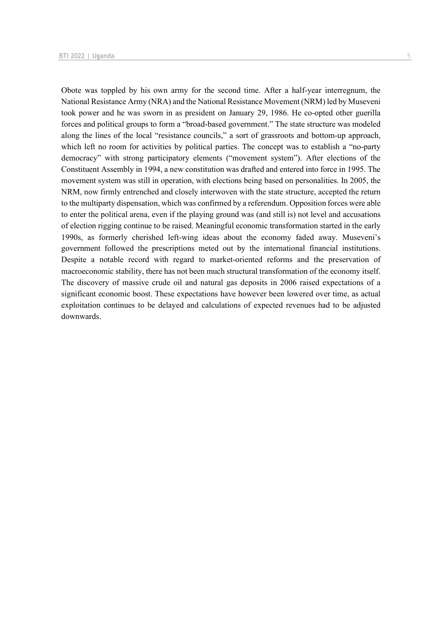Obote was toppled by his own army for the second time. After a half-year interregnum, the National Resistance Army (NRA) and the National Resistance Movement (NRM) led by Museveni took power and he was sworn in as president on January 29, 1986. He co-opted other guerilla forces and political groups to form a "broad-based government." The state structure was modeled along the lines of the local "resistance councils," a sort of grassroots and bottom-up approach, which left no room for activities by political parties. The concept was to establish a "no-party democracy" with strong participatory elements ("movement system"). After elections of the Constituent Assembly in 1994, a new constitution was drafted and entered into force in 1995. The movement system was still in operation, with elections being based on personalities. In 2005, the NRM, now firmly entrenched and closely interwoven with the state structure, accepted the return to the multiparty dispensation, which was confirmed by a referendum. Opposition forces were able to enter the political arena, even if the playing ground was (and still is) not level and accusations of election rigging continue to be raised. Meaningful economic transformation started in the early 1990s, as formerly cherished left-wing ideas about the economy faded away. Museveni's government followed the prescriptions meted out by the international financial institutions. Despite a notable record with regard to market-oriented reforms and the preservation of macroeconomic stability, there has not been much structural transformation of the economy itself. The discovery of massive crude oil and natural gas deposits in 2006 raised expectations of a significant economic boost. These expectations have however been lowered over time, as actual exploitation continues to be delayed and calculations of expected revenues had to be adjusted downwards.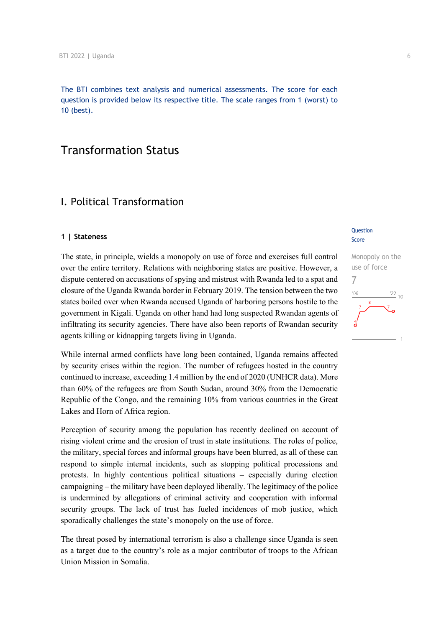The BTI combines text analysis and numerical assessments. The score for each question is provided below its respective title. The scale ranges from 1 (worst) to 10 (best).

## Transformation Status

## I. Political Transformation

#### **1 | Stateness**

The state, in principle, wields a monopoly on use of force and exercises full control over the entire territory. Relations with neighboring states are positive. However, a dispute centered on accusations of spying and mistrust with Rwanda led to a spat and closure of the Uganda Rwanda border in February 2019. The tension between the two states boiled over when Rwanda accused Uganda of harboring persons hostile to the government in Kigali. Uganda on other hand had long suspected Rwandan agents of infiltrating its security agencies. There have also been reports of Rwandan security agents killing or kidnapping targets living in Uganda.

While internal armed conflicts have long been contained, Uganda remains affected by security crises within the region. The number of refugees hosted in the country continued to increase, exceeding 1.4 million by the end of 2020 (UNHCR data). More than 60% of the refugees are from South Sudan, around 30% from the Democratic Republic of the Congo, and the remaining 10% from various countries in the Great Lakes and Horn of Africa region.

Perception of security among the population has recently declined on account of rising violent crime and the erosion of trust in state institutions. The roles of police, the military, special forces and informal groups have been blurred, as all of these can respond to simple internal incidents, such as stopping political processions and protests. In highly contentious political situations – especially during election campaigning – the military have been deployed liberally. The legitimacy of the police is undermined by allegations of criminal activity and cooperation with informal security groups. The lack of trust has fueled incidences of mob justice, which sporadically challenges the state's monopoly on the use of force.

The threat posed by international terrorism is also a challenge since Uganda is seen as a target due to the country's role as a major contributor of troops to the African Union Mission in Somalia.

#### **Question** Score

Monopoly on the use of force 7 $\frac{22}{10}$  $106$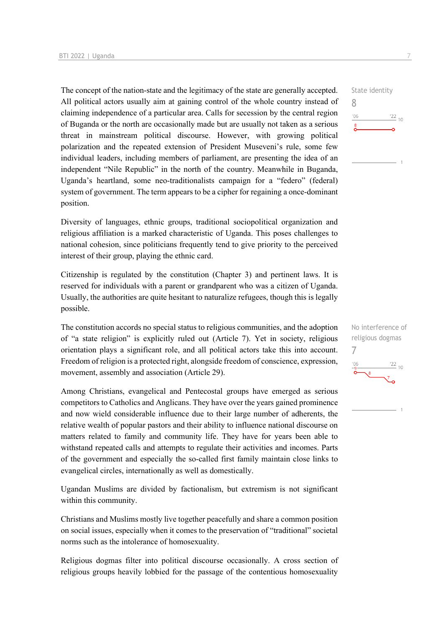The concept of the nation-state and the legitimacy of the state are generally accepted. All political actors usually aim at gaining control of the whole country instead of claiming independence of a particular area. Calls for secession by the central region of Buganda or the north are occasionally made but are usually not taken as a serious threat in mainstream political discourse. However, with growing political polarization and the repeated extension of President Museveni's rule, some few individual leaders, including members of parliament, are presenting the idea of an independent "Nile Republic" in the north of the country. Meanwhile in Buganda, Uganda's heartland, some neo-traditionalists campaign for a "federo" (federal) system of government. The term appears to be a cipher for regaining a once-dominant position.

Diversity of languages, ethnic groups, traditional sociopolitical organization and religious affiliation is a marked characteristic of Uganda. This poses challenges to national cohesion, since politicians frequently tend to give priority to the perceived interest of their group, playing the ethnic card.

Citizenship is regulated by the constitution (Chapter 3) and pertinent laws. It is reserved for individuals with a parent or grandparent who was a citizen of Uganda. Usually, the authorities are quite hesitant to naturalize refugees, though this is legally possible.

The constitution accords no special status to religious communities, and the adoption of "a state religion" is explicitly ruled out (Article 7). Yet in society, religious orientation plays a significant role, and all political actors take this into account. Freedom of religion is a protected right, alongside freedom of conscience, expression, movement, assembly and association (Article 29).

Among Christians, evangelical and Pentecostal groups have emerged as serious competitors to Catholics and Anglicans. They have over the years gained prominence and now wield considerable influence due to their large number of adherents, the relative wealth of popular pastors and their ability to influence national discourse on matters related to family and community life. They have for years been able to withstand repeated calls and attempts to regulate their activities and incomes. Parts of the government and especially the so-called first family maintain close links to evangelical circles, internationally as well as domestically.

Ugandan Muslims are divided by factionalism, but extremism is not significant within this community.

Christians and Muslims mostly live together peacefully and share a common position on social issues, especially when it comes to the preservation of "traditional" societal norms such as the intolerance of homosexuality.

Religious dogmas filter into political discourse occasionally. A cross section of religious groups heavily lobbied for the passage of the contentious homosexuality



No interference of religious dogmas 7 $\frac{22}{10}$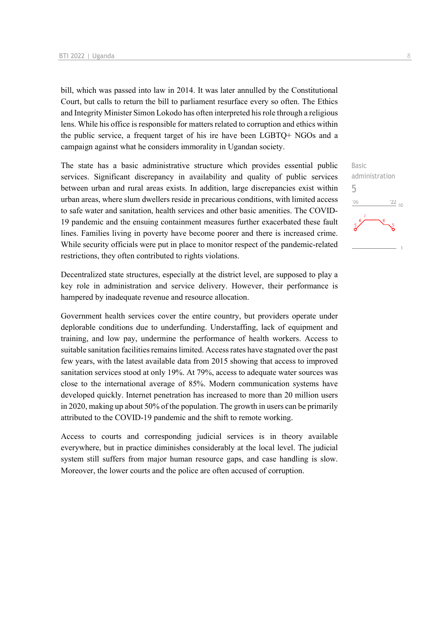bill, which was passed into law in 2014. It was later annulled by the Constitutional Court, but calls to return the bill to parliament resurface every so often. The Ethics and Integrity Minister Simon Lokodo has often interpreted his role through a religious lens. While his office is responsible for matters related to corruption and ethics within the public service, a frequent target of his ire have been LGBTQ+ NGOs and a campaign against what he considers immorality in Ugandan society.

The state has a basic administrative structure which provides essential public services. Significant discrepancy in availability and quality of public services between urban and rural areas exists. In addition, large discrepancies exist within urban areas, where slum dwellers reside in precarious conditions, with limited access to safe water and sanitation, health services and other basic amenities. The COVID-19 pandemic and the ensuing containment measures further exacerbated these fault lines. Families living in poverty have become poorer and there is increased crime. While security officials were put in place to monitor respect of the pandemic-related restrictions, they often contributed to rights violations.

Decentralized state structures, especially at the district level, are supposed to play a key role in administration and service delivery. However, their performance is hampered by inadequate revenue and resource allocation.

Government health services cover the entire country, but providers operate under deplorable conditions due to underfunding. Understaffing, lack of equipment and training, and low pay, undermine the performance of health workers. Access to suitable sanitation facilities remains limited. Access rates have stagnated over the past few years, with the latest available data from 2015 showing that access to improved sanitation services stood at only 19%. At 79%, access to adequate water sources was close to the international average of 85%. Modern communication systems have developed quickly. Internet penetration has increased to more than 20 million users in 2020, making up about 50% of the population. The growth in users can be primarily attributed to the COVID-19 pandemic and the shift to remote working.

Access to courts and corresponding judicial services is in theory available everywhere, but in practice diminishes considerably at the local level. The judicial system still suffers from major human resource gaps, and case handling is slow. Moreover, the lower courts and the police are often accused of corruption.

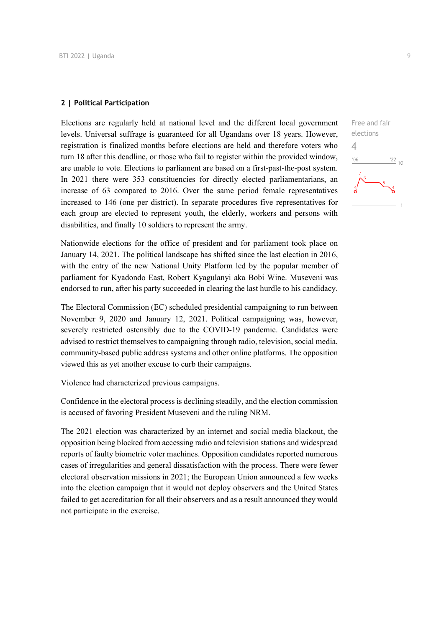#### **2 | Political Participation**

Elections are regularly held at national level and the different local government levels. Universal suffrage is guaranteed for all Ugandans over 18 years. However, registration is finalized months before elections are held and therefore voters who turn 18 after this deadline, or those who fail to register within the provided window, are unable to vote. Elections to parliament are based on a first-past-the-post system. In 2021 there were 353 constituencies for directly elected parliamentarians, an increase of 63 compared to 2016. Over the same period female representatives increased to 146 (one per district). In separate procedures five representatives for each group are elected to represent youth, the elderly, workers and persons with disabilities, and finally 10 soldiers to represent the army.

Nationwide elections for the office of president and for parliament took place on January 14, 2021. The political landscape has shifted since the last election in 2016, with the entry of the new National Unity Platform led by the popular member of parliament for Kyadondo East, Robert Kyagulanyi aka Bobi Wine. Museveni was endorsed to run, after his party succeeded in clearing the last hurdle to his candidacy.

The Electoral Commission (EC) scheduled presidential campaigning to run between November 9, 2020 and January 12, 2021. Political campaigning was, however, severely restricted ostensibly due to the COVID-19 pandemic. Candidates were advised to restrict themselves to campaigning through radio, television, social media, community-based public address systems and other online platforms. The opposition viewed this as yet another excuse to curb their campaigns.

Violence had characterized previous campaigns.

Confidence in the electoral process is declining steadily, and the election commission is accused of favoring President Museveni and the ruling NRM.

The 2021 election was characterized by an internet and social media blackout, the opposition being blocked from accessing radio and television stations and widespread reports of faulty biometric voter machines. Opposition candidates reported numerous cases of irregularities and general dissatisfaction with the process. There were fewer electoral observation missions in 2021; the European Union announced a few weeks into the election campaign that it would not deploy observers and the United States failed to get accreditation for all their observers and as a result announced they would not participate in the exercise.

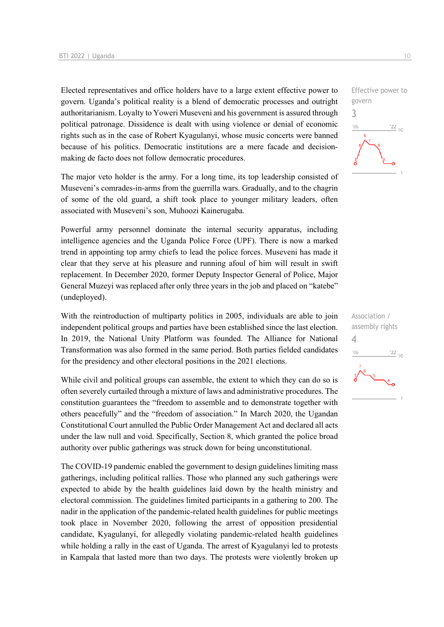Elected representatives and office holders have to a large extent effective power to govern. Uganda's political reality is a blend of democratic processes and outright authoritarianism. Loyalty to Yoweri Museveni and his government is assured through political patronage. Dissidence is dealt with using violence or denial of economic rights such as in the case of Robert Kyagulanyi, whose music concerts were banned because of his politics. Democratic institutions are a mere facade and decisionmaking de facto does not follow democratic procedures.

The major veto holder is the army. For a long time, its top leadership consisted of Museveni's comrades-in-arms from the guerrilla wars. Gradually, and to the chagrin of some of the old guard, a shift took place to younger military leaders, often associated with Museveni's son, Muhoozi Kainerugaba.

Powerful army personnel dominate the internal security apparatus, including intelligence agencies and the Uganda Police Force (UPF). There is now a marked trend in appointing top army chiefs to lead the police forces. Museveni has made it clear that they serve at his pleasure and running afoul of him will result in swift replacement. In December 2020, former Deputy Inspector General of Police, Major General Muzeyi was replaced after only three years in the job and placed on "katebe" (undeployed).

With the reintroduction of multiparty politics in 2005, individuals are able to join independent political groups and parties have been established since the last election. In 2019, the National Unity Platform was founded. The Alliance for National Transformation was also formed in the same period. Both parties fielded candidates for the presidency and other electoral positions in the 2021 elections.

While civil and political groups can assemble, the extent to which they can do so is often severely curtailed through a mixture of laws and administrative procedures. The constitution guarantees the "freedom to assemble and to demonstrate together with others peacefully" and the "freedom of association." In March 2020, the Ugandan Constitutional Court annulled the Public Order Management Act and declared all acts under the law null and void. Specifically, Section 8, which granted the police broad authority over public gatherings was struck down for being unconstitutional.

The COVID-19 pandemic enabled the government to design guidelines limiting mass gatherings, including political rallies. Those who planned any such gatherings were expected to abide by the health guidelines laid down by the health ministry and electoral commission. The guidelines limited participants in a gathering to 200. The nadir in the application of the pandemic-related health guidelines for public meetings took place in November 2020, following the arrest of opposition presidential candidate, Kyagulanyi, for allegedly violating pandemic-related health guidelines while holding a rally in the east of Uganda. The arrest of Kyagulanyi led to protests in Kampala that lasted more than two days. The protests were violently broken up Effective power to govern 3  $06'$  $\frac{22}{10}$ 

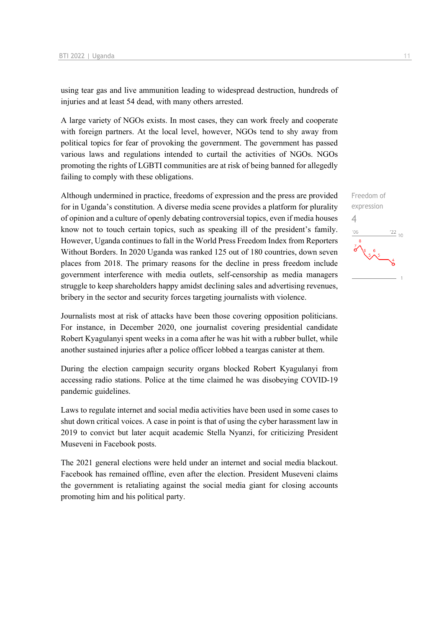using tear gas and live ammunition leading to widespread destruction, hundreds of injuries and at least 54 dead, with many others arrested.

A large variety of NGOs exists. In most cases, they can work freely and cooperate with foreign partners. At the local level, however, NGOs tend to shy away from political topics for fear of provoking the government. The government has passed various laws and regulations intended to curtail the activities of NGOs. NGOs promoting the rights of LGBTI communities are at risk of being banned for allegedly failing to comply with these obligations.

Although undermined in practice, freedoms of expression and the press are provided for in Uganda's constitution. A diverse media scene provides a platform for plurality of opinion and a culture of openly debating controversial topics, even if media houses know not to touch certain topics, such as speaking ill of the president's family. However, Uganda continues to fall in the World Press Freedom Index from Reporters Without Borders. In 2020 Uganda was ranked 125 out of 180 countries, down seven places from 2018. The primary reasons for the decline in press freedom include government interference with media outlets, self-censorship as media managers struggle to keep shareholders happy amidst declining sales and advertising revenues, bribery in the sector and security forces targeting journalists with violence.

Journalists most at risk of attacks have been those covering opposition politicians. For instance, in December 2020, one journalist covering presidential candidate Robert Kyagulanyi spent weeks in a coma after he was hit with a rubber bullet, while another sustained injuries after a police officer lobbed a teargas canister at them.

During the election campaign security organs blocked Robert Kyagulanyi from accessing radio stations. Police at the time claimed he was disobeying COVID-19 pandemic guidelines.

Laws to regulate internet and social media activities have been used in some cases to shut down critical voices. A case in point is that of using the cyber harassment law in 2019 to convict but later acquit academic Stella Nyanzi, for criticizing President Museveni in Facebook posts.

The 2021 general elections were held under an internet and social media blackout. Facebook has remained offline, even after the election. President Museveni claims the government is retaliating against the social media giant for closing accounts promoting him and his political party.

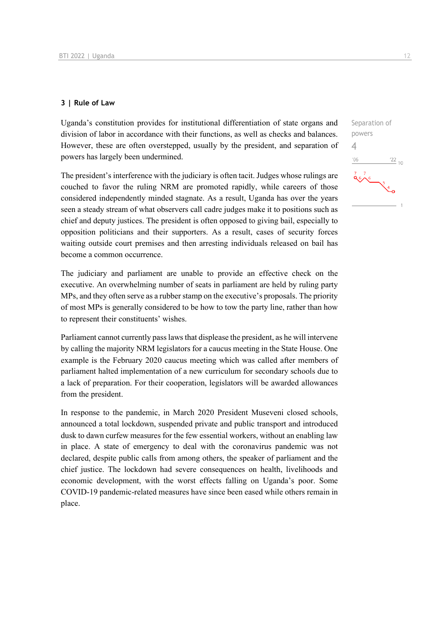#### **3 | Rule of Law**

Uganda's constitution provides for institutional differentiation of state organs and division of labor in accordance with their functions, as well as checks and balances. However, these are often overstepped, usually by the president, and separation of powers has largely been undermined.

The president's interference with the judiciary is often tacit. Judges whose rulings are couched to favor the ruling NRM are promoted rapidly, while careers of those considered independently minded stagnate. As a result, Uganda has over the years seen a steady stream of what observers call cadre judges make it to positions such as chief and deputy justices. The president is often opposed to giving bail, especially to opposition politicians and their supporters. As a result, cases of security forces waiting outside court premises and then arresting individuals released on bail has become a common occurrence.

The judiciary and parliament are unable to provide an effective check on the executive. An overwhelming number of seats in parliament are held by ruling party MPs, and they often serve as a rubber stamp on the executive's proposals. The priority of most MPs is generally considered to be how to tow the party line, rather than how to represent their constituents' wishes.

Parliament cannot currently pass laws that displease the president, as he will intervene by calling the majority NRM legislators for a caucus meeting in the State House. One example is the February 2020 caucus meeting which was called after members of parliament halted implementation of a new curriculum for secondary schools due to a lack of preparation. For their cooperation, legislators will be awarded allowances from the president.

In response to the pandemic, in March 2020 President Museveni closed schools, announced a total lockdown, suspended private and public transport and introduced dusk to dawn curfew measures for the few essential workers, without an enabling law in place. A state of emergency to deal with the coronavirus pandemic was not declared, despite public calls from among others, the speaker of parliament and the chief justice. The lockdown had severe consequences on health, livelihoods and economic development, with the worst effects falling on Uganda's poor. Some COVID-19 pandemic-related measures have since been eased while others remain in place.

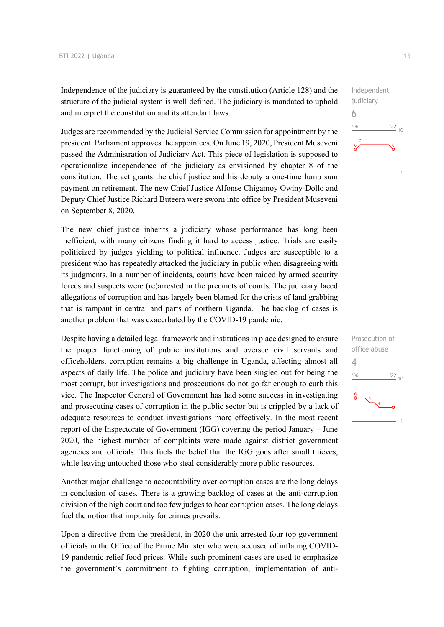Independence of the judiciary is guaranteed by the constitution (Article 128) and the structure of the judicial system is well defined. The judiciary is mandated to uphold and interpret the constitution and its attendant laws.

Judges are recommended by the Judicial Service Commission for appointment by the president. Parliament approves the appointees. On June 19, 2020, President Museveni passed the Administration of Judiciary Act. This piece of legislation is supposed to operationalize independence of the judiciary as envisioned by chapter 8 of the constitution. The act grants the chief justice and his deputy a one-time lump sum payment on retirement. The new Chief Justice Alfonse Chigamoy Owiny-Dollo and Deputy Chief Justice Richard Buteera were sworn into office by President Museveni on September 8, 2020.

The new chief justice inherits a judiciary whose performance has long been inefficient, with many citizens finding it hard to access justice. Trials are easily politicized by judges yielding to political influence. Judges are susceptible to a president who has repeatedly attacked the judiciary in public when disagreeing with its judgments. In a number of incidents, courts have been raided by armed security forces and suspects were (re)arrested in the precincts of courts. The judiciary faced allegations of corruption and has largely been blamed for the crisis of land grabbing that is rampant in central and parts of northern Uganda. The backlog of cases is another problem that was exacerbated by the COVID-19 pandemic.

Despite having a detailed legal framework and institutions in place designed to ensure the proper functioning of public institutions and oversee civil servants and officeholders, corruption remains a big challenge in Uganda, affecting almost all aspects of daily life. The police and judiciary have been singled out for being the most corrupt, but investigations and prosecutions do not go far enough to curb this vice. The Inspector General of Government has had some success in investigating and prosecuting cases of corruption in the public sector but is crippled by a lack of adequate resources to conduct investigations more effectively. In the most recent report of the Inspectorate of Government (IGG) covering the period January – June 2020, the highest number of complaints were made against district government agencies and officials. This fuels the belief that the IGG goes after small thieves, while leaving untouched those who steal considerably more public resources.

Another major challenge to accountability over corruption cases are the long delays in conclusion of cases. There is a growing backlog of cases at the anti-corruption division of the high court and too few judges to hear corruption cases. The long delays fuel the notion that impunity for crimes prevails.

Upon a directive from the president, in 2020 the unit arrested four top government officials in the Office of the Prime Minister who were accused of inflating COVID-19 pandemic relief food prices. While such prominent cases are used to emphasize the government's commitment to fighting corruption, implementation of anti-



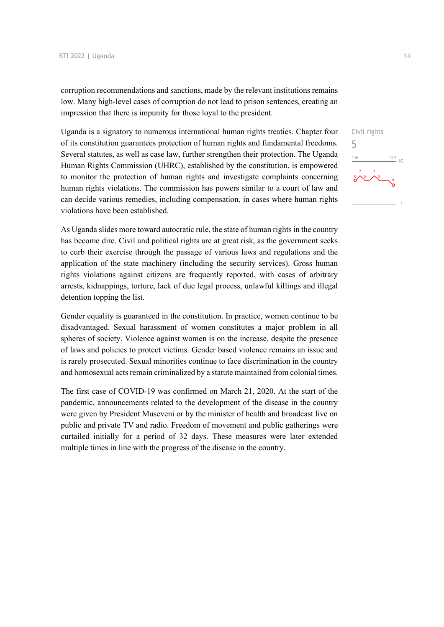corruption recommendations and sanctions, made by the relevant institutions remains low. Many high-level cases of corruption do not lead to prison sentences, creating an impression that there is impunity for those loyal to the president.

Uganda is a signatory to numerous international human rights treaties. Chapter four of its constitution guarantees protection of human rights and fundamental freedoms. Several statutes, as well as case law, further strengthen their protection. The Uganda Human Rights Commission (UHRC), established by the constitution, is empowered to monitor the protection of human rights and investigate complaints concerning human rights violations. The commission has powers similar to a court of law and can decide various remedies, including compensation, in cases where human rights violations have been established.

As Uganda slides more toward autocratic rule, the state of human rights in the country has become dire. Civil and political rights are at great risk, as the government seeks to curb their exercise through the passage of various laws and regulations and the application of the state machinery (including the security services). Gross human rights violations against citizens are frequently reported, with cases of arbitrary arrests, kidnappings, torture, lack of due legal process, unlawful killings and illegal detention topping the list.

Gender equality is guaranteed in the constitution. In practice, women continue to be disadvantaged. Sexual harassment of women constitutes a major problem in all spheres of society. Violence against women is on the increase, despite the presence of laws and policies to protect victims. Gender based violence remains an issue and is rarely prosecuted. Sexual minorities continue to face discrimination in the country and homosexual acts remain criminalized by a statute maintained from colonial times.

The first case of COVID-19 was confirmed on March 21, 2020. At the start of the pandemic, announcements related to the development of the disease in the country were given by President Museveni or by the minister of health and broadcast live on public and private TV and radio. Freedom of movement and public gatherings were curtailed initially for a period of 32 days. These measures were later extended multiple times in line with the progress of the disease in the country.

Civil rights 5 $\frac{122}{10}$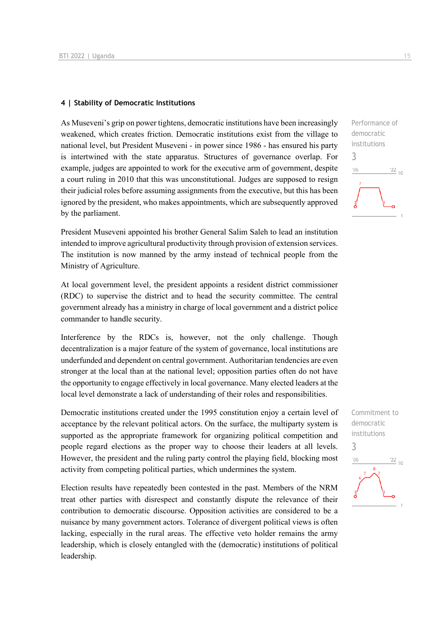#### **4 | Stability of Democratic Institutions**

As Museveni's grip on power tightens, democratic institutions have been increasingly weakened, which creates friction. Democratic institutions exist from the village to national level, but President Museveni - in power since 1986 - has ensured his party is intertwined with the state apparatus. Structures of governance overlap. For example, judges are appointed to work for the executive arm of government, despite a court ruling in 2010 that this was unconstitutional. Judges are supposed to resign their judicial roles before assuming assignments from the executive, but this has been ignored by the president, who makes appointments, which are subsequently approved by the parliament.

President Museveni appointed his brother General Salim Saleh to lead an institution intended to improve agricultural productivity through provision of extension services. The institution is now manned by the army instead of technical people from the Ministry of Agriculture.

At local government level, the president appoints a resident district commissioner (RDC) to supervise the district and to head the security committee. The central government already has a ministry in charge of local government and a district police commander to handle security.

Interference by the RDCs is, however, not the only challenge. Though decentralization is a major feature of the system of governance, local institutions are underfunded and dependent on central government. Authoritarian tendencies are even stronger at the local than at the national level; opposition parties often do not have the opportunity to engage effectively in local governance. Many elected leaders at the local level demonstrate a lack of understanding of their roles and responsibilities.

Democratic institutions created under the 1995 constitution enjoy a certain level of acceptance by the relevant political actors. On the surface, the multiparty system is supported as the appropriate framework for organizing political competition and people regard elections as the proper way to choose their leaders at all levels. However, the president and the ruling party control the playing field, blocking most activity from competing political parties, which undermines the system.

Election results have repeatedly been contested in the past. Members of the NRM treat other parties with disrespect and constantly dispute the relevance of their contribution to democratic discourse. Opposition activities are considered to be a nuisance by many government actors. Tolerance of divergent political views is often lacking, especially in the rural areas. The effective veto holder remains the army leadership, which is closely entangled with the (democratic) institutions of political leadership.



Commitment to democratic institutions 3 $^{\prime}06$  $\frac{22}{10}$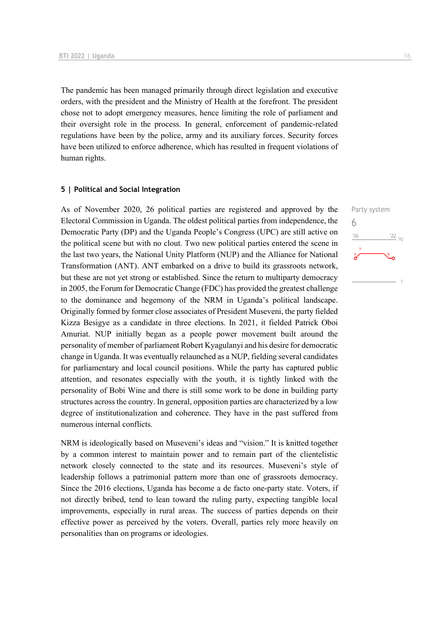The pandemic has been managed primarily through direct legislation and executive orders, with the president and the Ministry of Health at the forefront. The president chose not to adopt emergency measures, hence limiting the role of parliament and their oversight role in the process. In general, enforcement of pandemic-related regulations have been by the police, army and its auxiliary forces. Security forces have been utilized to enforce adherence, which has resulted in frequent violations of human rights.

#### **5 | Political and Social Integration**

As of November 2020, 26 political parties are registered and approved by the Electoral Commission in Uganda. The oldest political parties from independence, the Democratic Party (DP) and the Uganda People's Congress (UPC) are still active on the political scene but with no clout. Two new political parties entered the scene in the last two years, the National Unity Platform (NUP) and the Alliance for National Transformation (ANT). ANT embarked on a drive to build its grassroots network, but these are not yet strong or established. Since the return to multiparty democracy in 2005, the Forum for Democratic Change (FDC) has provided the greatest challenge to the dominance and hegemony of the NRM in Uganda's political landscape. Originally formed by former close associates of President Museveni, the party fielded Kizza Besigye as a candidate in three elections. In 2021, it fielded Patrick Oboi Amuriat. NUP initially began as a people power movement built around the personality of member of parliament Robert Kyagulanyi and his desire for democratic change in Uganda. It was eventually relaunched as a NUP, fielding several candidates for parliamentary and local council positions. While the party has captured public attention, and resonates especially with the youth, it is tightly linked with the personality of Bobi Wine and there is still some work to be done in building party structures across the country. In general, opposition parties are characterized by a low degree of institutionalization and coherence. They have in the past suffered from numerous internal conflicts.

NRM is ideologically based on Museveni's ideas and "vision." It is knitted together by a common interest to maintain power and to remain part of the clientelistic network closely connected to the state and its resources. Museveni's style of leadership follows a patrimonial pattern more than one of grassroots democracy. Since the 2016 elections, Uganda has become a de facto one-party state. Voters, if not directly bribed, tend to lean toward the ruling party, expecting tangible local improvements, especially in rural areas. The success of parties depends on their effective power as perceived by the voters. Overall, parties rely more heavily on personalities than on programs or ideologies.

Party system 6 $n<sub>0</sub>$  $\frac{22}{10}$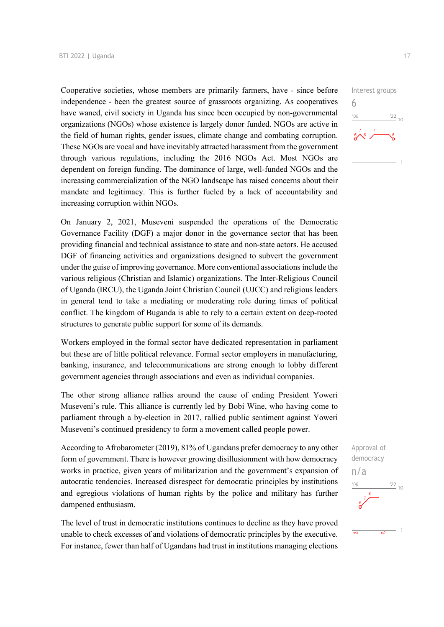Cooperative societies, whose members are primarily farmers, have - since before independence - been the greatest source of grassroots organizing. As cooperatives have waned, civil society in Uganda has since been occupied by non-governmental organizations (NGOs) whose existence is largely donor funded. NGOs are active in the field of human rights, gender issues, climate change and combating corruption. These NGOs are vocal and have inevitably attracted harassment from the government through various regulations, including the 2016 NGOs Act. Most NGOs are dependent on foreign funding. The dominance of large, well-funded NGOs and the increasing commercialization of the NGO landscape has raised concerns about their mandate and legitimacy. This is further fueled by a lack of accountability and increasing corruption within NGOs.

On January 2, 2021, Museveni suspended the operations of the Democratic Governance Facility (DGF) a major donor in the governance sector that has been providing financial and technical assistance to state and non-state actors. He accused DGF of financing activities and organizations designed to subvert the government under the guise of improving governance. More conventional associations include the various religious (Christian and Islamic) organizations. The Inter-Religious Council of Uganda (IRCU), the Uganda Joint Christian Council (UJCC) and religious leaders in general tend to take a mediating or moderating role during times of political conflict. The kingdom of Buganda is able to rely to a certain extent on deep-rooted structures to generate public support for some of its demands.

Workers employed in the formal sector have dedicated representation in parliament but these are of little political relevance. Formal sector employers in manufacturing, banking, insurance, and telecommunications are strong enough to lobby different government agencies through associations and even as individual companies.

The other strong alliance rallies around the cause of ending President Yoweri Museveni's rule. This alliance is currently led by Bobi Wine, who having come to parliament through a by-election in 2017, rallied public sentiment against Yoweri Museveni's continued presidency to form a movement called people power.

According to Afrobarometer (2019), 81% of Ugandans prefer democracy to any other form of government. There is however growing disillusionment with how democracy works in practice, given years of militarization and the government's expansion of autocratic tendencies. Increased disrespect for democratic principles by institutions and egregious violations of human rights by the police and military has further dampened enthusiasm.

The level of trust in democratic institutions continues to decline as they have proved unable to check excesses of and violations of democratic principles by the executive. For instance, fewer than half of Ugandans had trust in institutions managing elections

Interest groups 6  $\frac{22}{10}$  $106$ 

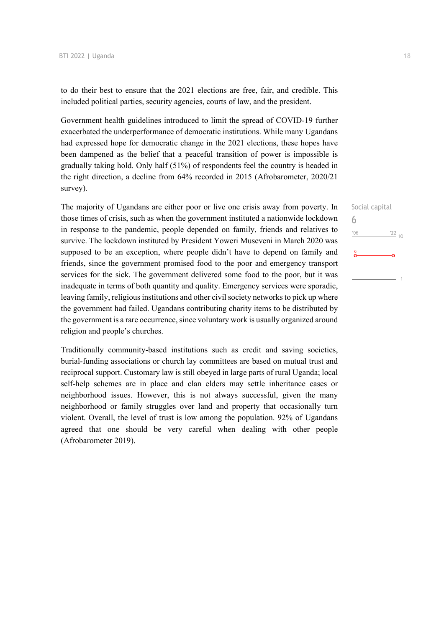to do their best to ensure that the 2021 elections are free, fair, and credible. This included political parties, security agencies, courts of law, and the president.

Government health guidelines introduced to limit the spread of COVID-19 further exacerbated the underperformance of democratic institutions. While many Ugandans had expressed hope for democratic change in the 2021 elections, these hopes have been dampened as the belief that a peaceful transition of power is impossible is gradually taking hold. Only half (51%) of respondents feel the country is headed in the right direction, a decline from 64% recorded in 2015 (Afrobarometer, 2020/21 survey).

The majority of Ugandans are either poor or live one crisis away from poverty. In those times of crisis, such as when the government instituted a nationwide lockdown in response to the pandemic, people depended on family, friends and relatives to survive. The lockdown instituted by President Yoweri Museveni in March 2020 was supposed to be an exception, where people didn't have to depend on family and friends, since the government promised food to the poor and emergency transport services for the sick. The government delivered some food to the poor, but it was inadequate in terms of both quantity and quality. Emergency services were sporadic, leaving family, religious institutions and other civil society networks to pick up where the government had failed. Ugandans contributing charity items to be distributed by the government is a rare occurrence, since voluntary work is usually organized around religion and people's churches.

Traditionally community-based institutions such as credit and saving societies, burial-funding associations or church lay committees are based on mutual trust and reciprocal support. Customary law is still obeyed in large parts of rural Uganda; local self-help schemes are in place and clan elders may settle inheritance cases or neighborhood issues. However, this is not always successful, given the many neighborhood or family struggles over land and property that occasionally turn violent. Overall, the level of trust is low among the population. 92% of Ugandans agreed that one should be very careful when dealing with other people (Afrobarometer 2019).

Social capital 6 $\frac{1}{22}$  10  $'06$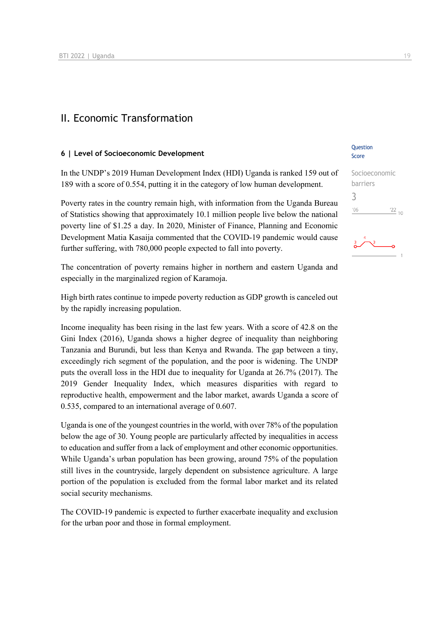### II. Economic Transformation

#### **6 | Level of Socioeconomic Development**

In the UNDP's 2019 Human Development Index (HDI) Uganda is ranked 159 out of 189 with a score of 0.554, putting it in the category of low human development.

Poverty rates in the country remain high, with information from the Uganda Bureau of Statistics showing that approximately 10.1 million people live below the national poverty line of \$1.25 a day. In 2020, Minister of Finance, Planning and Economic Development Matia Kasaija commented that the COVID-19 pandemic would cause further suffering, with 780,000 people expected to fall into poverty.

The concentration of poverty remains higher in northern and eastern Uganda and especially in the marginalized region of Karamoja.

High birth rates continue to impede poverty reduction as GDP growth is canceled out by the rapidly increasing population.

Income inequality has been rising in the last few years. With a score of 42.8 on the Gini Index (2016), Uganda shows a higher degree of inequality than neighboring Tanzania and Burundi, but less than Kenya and Rwanda. The gap between a tiny, exceedingly rich segment of the population, and the poor is widening. The UNDP puts the overall loss in the HDI due to inequality for Uganda at 26.7% (2017). The 2019 Gender Inequality Index, which measures disparities with regard to reproductive health, empowerment and the labor market, awards Uganda a score of 0.535, compared to an international average of 0.607.

Uganda is one of the youngest countries in the world, with over 78% of the population below the age of 30. Young people are particularly affected by inequalities in access to education and suffer from a lack of employment and other economic opportunities. While Uganda's urban population has been growing, around 75% of the population still lives in the countryside, largely dependent on subsistence agriculture. A large portion of the population is excluded from the formal labor market and its related social security mechanisms.

The COVID-19 pandemic is expected to further exacerbate inequality and exclusion for the urban poor and those in formal employment.

#### **Ouestion** Score



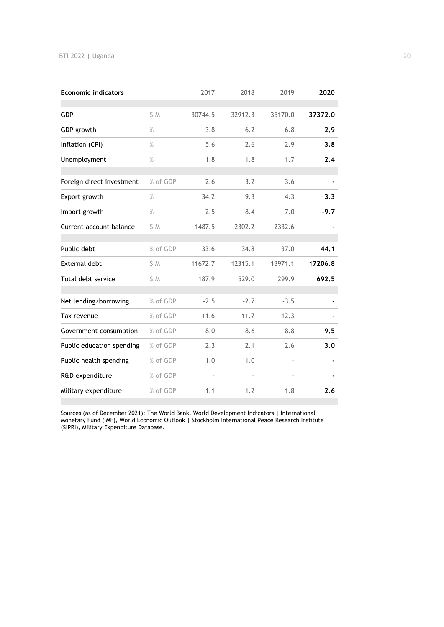| <b>Economic indicators</b> |               | 2017      | 2018      | 2019      | 2020    |
|----------------------------|---------------|-----------|-----------|-----------|---------|
| <b>GDP</b>                 | S M           | 30744.5   | 32912.3   | 35170.0   | 37372.0 |
| GDP growth                 | $\frac{9}{6}$ | 3.8       | 6.2       | 6.8       | 2.9     |
| Inflation (CPI)            | $\%$          | 5.6       | 2.6       | 2.9       | 3.8     |
| Unemployment               | $\%$          | 1.8       | 1.8       | 1.7       | 2.4     |
| Foreign direct investment  | % of GDP      | 2.6       | 3.2       | 3.6       |         |
| Export growth              | $\%$          | 34.2      | 9.3       | 4.3       | 3.3     |
| Import growth              | $\frac{9}{6}$ | 2.5       | 8.4       | 7.0       | $-9.7$  |
| Current account balance    | \$ M          | $-1487.5$ | $-2302.2$ | $-2332.6$ |         |
| Public debt                | % of GDP      | 33.6      | 34.8      | 37.0      | 44.1    |
| <b>External debt</b>       | \$ M          | 11672.7   | 12315.1   | 13971.1   | 17206.8 |
| Total debt service         | \$ M          | 187.9     | 529.0     | 299.9     | 692.5   |
| Net lending/borrowing      | % of GDP      | $-2.5$    | $-2.7$    | $-3.5$    |         |
| Tax revenue                | % of GDP      | 11.6      | 11.7      | 12.3      |         |
| Government consumption     | % of GDP      | 8.0       | 8.6       | 8.8       | 9.5     |
| Public education spending  | % of GDP      | 2.3       | 2.1       | 2.6       | 3.0     |
| Public health spending     | % of GDP      | 1.0       | 1.0       |           |         |
| R&D expenditure            | % of GDP      |           |           |           |         |
| Military expenditure       | % of GDP      | 1.1       | 1.2       | 1.8       | 2.6     |

Sources (as of December 2021): The World Bank, World Development Indicators | International Monetary Fund (IMF), World Economic Outlook | Stockholm International Peace Research Institute (SIPRI), Military Expenditure Database.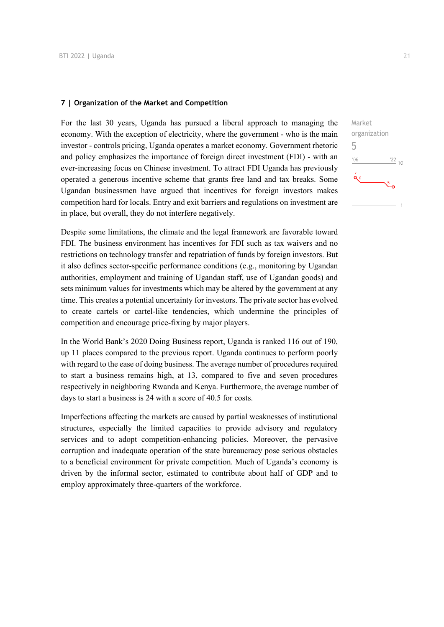#### **7 | Organization of the Market and Competition**

For the last 30 years, Uganda has pursued a liberal approach to managing the economy. With the exception of electricity, where the government - who is the main investor - controls pricing, Uganda operates a market economy. Government rhetoric and policy emphasizes the importance of foreign direct investment (FDI) - with an ever-increasing focus on Chinese investment. To attract FDI Uganda has previously operated a generous incentive scheme that grants free land and tax breaks. Some Ugandan businessmen have argued that incentives for foreign investors makes competition hard for locals. Entry and exit barriers and regulations on investment are in place, but overall, they do not interfere negatively.

Despite some limitations, the climate and the legal framework are favorable toward FDI. The business environment has incentives for FDI such as tax waivers and no restrictions on technology transfer and repatriation of funds by foreign investors. But it also defines sector-specific performance conditions (e.g., monitoring by Ugandan authorities, employment and training of Ugandan staff, use of Ugandan goods) and sets minimum values for investments which may be altered by the government at any time. This creates a potential uncertainty for investors. The private sector has evolved to create cartels or cartel-like tendencies, which undermine the principles of competition and encourage price-fixing by major players.

In the World Bank's 2020 Doing Business report, Uganda is ranked 116 out of 190, up 11 places compared to the previous report. Uganda continues to perform poorly with regard to the ease of doing business. The average number of procedures required to start a business remains high, at 13, compared to five and seven procedures respectively in neighboring Rwanda and Kenya. Furthermore, the average number of days to start a business is 24 with a score of 40.5 for costs.

Imperfections affecting the markets are caused by partial weaknesses of institutional structures, especially the limited capacities to provide advisory and regulatory services and to adopt competition-enhancing policies. Moreover, the pervasive corruption and inadequate operation of the state bureaucracy pose serious obstacles to a beneficial environment for private competition. Much of Uganda's economy is driven by the informal sector, estimated to contribute about half of GDP and to employ approximately three-quarters of the workforce.

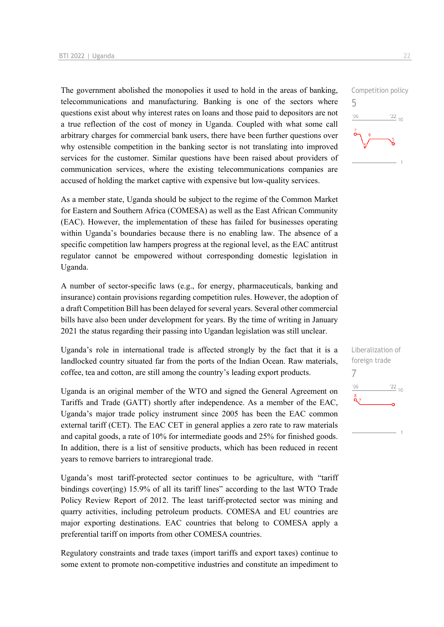The government abolished the monopolies it used to hold in the areas of banking, telecommunications and manufacturing. Banking is one of the sectors where questions exist about why interest rates on loans and those paid to depositors are not a true reflection of the cost of money in Uganda. Coupled with what some call arbitrary charges for commercial bank users, there have been further questions over why ostensible competition in the banking sector is not translating into improved services for the customer. Similar questions have been raised about providers of communication services, where the existing telecommunications companies are accused of holding the market captive with expensive but low-quality services.

As a member state, Uganda should be subject to the regime of the Common Market for Eastern and Southern Africa (COMESA) as well as the East African Community (EAC). However, the implementation of these has failed for businesses operating within Uganda's boundaries because there is no enabling law. The absence of a specific competition law hampers progress at the regional level, as the EAC antitrust regulator cannot be empowered without corresponding domestic legislation in Uganda.

A number of sector-specific laws (e.g., for energy, pharmaceuticals, banking and insurance) contain provisions regarding competition rules. However, the adoption of a draft Competition Bill has been delayed for several years. Several other commercial bills have also been under development for years. By the time of writing in January 2021 the status regarding their passing into Ugandan legislation was still unclear.

Uganda's role in international trade is affected strongly by the fact that it is a landlocked country situated far from the ports of the Indian Ocean. Raw materials, coffee, tea and cotton, are still among the country's leading export products.

Uganda is an original member of the WTO and signed the General Agreement on Tariffs and Trade (GATT) shortly after independence. As a member of the EAC, Uganda's major trade policy instrument since 2005 has been the EAC common external tariff (CET). The EAC CET in general applies a zero rate to raw materials and capital goods, a rate of 10% for intermediate goods and 25% for finished goods. In addition, there is a list of sensitive products, which has been reduced in recent years to remove barriers to intraregional trade.

Uganda's most tariff-protected sector continues to be agriculture, with "tariff bindings cover(ing) 15.9% of all its tariff lines" according to the last WTO Trade Policy Review Report of 2012. The least tariff-protected sector was mining and quarry activities, including petroleum products. COMESA and EU countries are major exporting destinations. EAC countries that belong to COMESA apply a preferential tariff on imports from other COMESA countries.

Regulatory constraints and trade taxes (import tariffs and export taxes) continue to some extent to promote non-competitive industries and constitute an impediment to



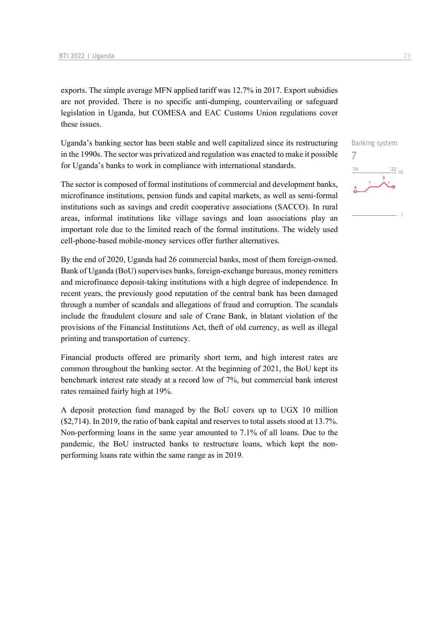exports. The simple average MFN applied tariff was 12.7% in 2017. Export subsidies are not provided. There is no specific anti-dumping, countervailing or safeguard legislation in Uganda, but COMESA and EAC Customs Union regulations cover these issues.

Uganda's banking sector has been stable and well capitalized since its restructuring in the 1990s. The sector was privatized and regulation was enacted to make it possible for Uganda's banks to work in compliance with international standards.

The sector is composed of formal institutions of commercial and development banks, microfinance institutions, pension funds and capital markets, as well as semi-formal institutions such as savings and credit cooperative associations (SACCO). In rural areas, informal institutions like village savings and loan associations play an important role due to the limited reach of the formal institutions. The widely used cell-phone-based mobile-money services offer further alternatives.

By the end of 2020, Uganda had 26 commercial banks, most of them foreign-owned. Bank of Uganda (BoU) supervises banks, foreign-exchange bureaus, money remitters and microfinance deposit-taking institutions with a high degree of independence. In recent years, the previously good reputation of the central bank has been damaged through a number of scandals and allegations of fraud and corruption. The scandals include the fraudulent closure and sale of Crane Bank, in blatant violation of the provisions of the Financial Institutions Act, theft of old currency, as well as illegal printing and transportation of currency.

Financial products offered are primarily short term, and high interest rates are common throughout the banking sector. At the beginning of 2021, the BoU kept its benchmark interest rate steady at a record low of 7%, but commercial bank interest rates remained fairly high at 19%.

A deposit protection fund managed by the BoU covers up to UGX 10 million (\$2,714). In 2019, the ratio of bank capital and reserves to total assets stood at 13.7%. Non-performing loans in the same year amounted to 7.1% of all loans. Due to the pandemic, the BoU instructed banks to restructure loans, which kept the nonperforming loans rate within the same range as in 2019.

Banking system 7 $\frac{22}{10}$  $^{\prime}06$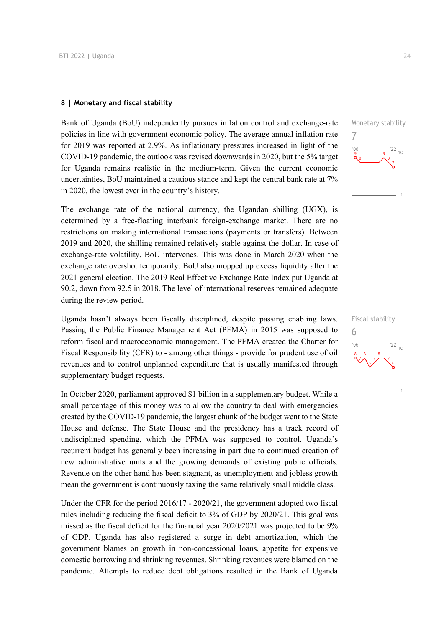#### **8 | Monetary and fiscal stability**

Bank of Uganda (BoU) independently pursues inflation control and exchange-rate policies in line with government economic policy. The average annual inflation rate for 2019 was reported at 2.9%. As inflationary pressures increased in light of the COVID-19 pandemic, the outlook was revised downwards in 2020, but the 5% target for Uganda remains realistic in the medium-term. Given the current economic uncertainties, BoU maintained a cautious stance and kept the central bank rate at 7% in 2020, the lowest ever in the country's history.

The exchange rate of the national currency, the Ugandan shilling (UGX), is determined by a free-floating interbank foreign-exchange market. There are no restrictions on making international transactions (payments or transfers). Between 2019 and 2020, the shilling remained relatively stable against the dollar. In case of exchange-rate volatility, BoU intervenes. This was done in March 2020 when the exchange rate overshot temporarily. BoU also mopped up excess liquidity after the 2021 general election. The 2019 Real Effective Exchange Rate Index put Uganda at 90.2, down from 92.5 in 2018. The level of international reserves remained adequate during the review period.

Uganda hasn't always been fiscally disciplined, despite passing enabling laws. Passing the Public Finance Management Act (PFMA) in 2015 was supposed to reform fiscal and macroeconomic management. The PFMA created the Charter for Fiscal Responsibility (CFR) to - among other things - provide for prudent use of oil revenues and to control unplanned expenditure that is usually manifested through supplementary budget requests.

In October 2020, parliament approved \$1 billion in a supplementary budget. While a small percentage of this money was to allow the country to deal with emergencies created by the COVID-19 pandemic, the largest chunk of the budget went to the State House and defense. The State House and the presidency has a track record of undisciplined spending, which the PFMA was supposed to control. Uganda's recurrent budget has generally been increasing in part due to continued creation of new administrative units and the growing demands of existing public officials. Revenue on the other hand has been stagnant, as unemployment and jobless growth mean the government is continuously taxing the same relatively small middle class.

Under the CFR for the period 2016/17 - 2020/21, the government adopted two fiscal rules including reducing the fiscal deficit to 3% of GDP by 2020/21. This goal was missed as the fiscal deficit for the financial year 2020/2021 was projected to be 9% of GDP. Uganda has also registered a surge in debt amortization, which the government blames on growth in non-concessional loans, appetite for expensive domestic borrowing and shrinking revenues. Shrinking revenues were blamed on the pandemic. Attempts to reduce debt obligations resulted in the Bank of Uganda



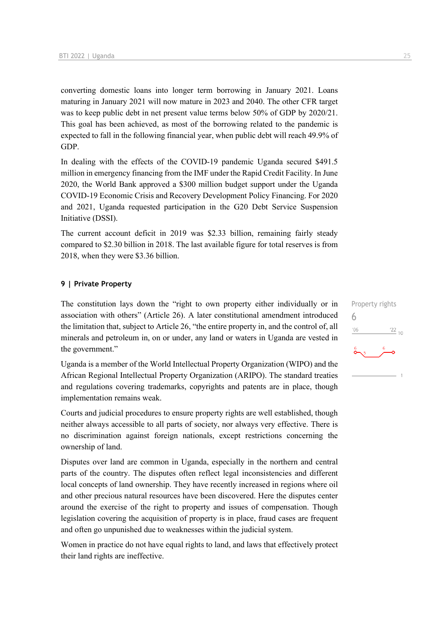converting domestic loans into longer term borrowing in January 2021. Loans maturing in January 2021 will now mature in 2023 and 2040. The other CFR target was to keep public debt in net present value terms below 50% of GDP by 2020/21. This goal has been achieved, as most of the borrowing related to the pandemic is expected to fall in the following financial year, when public debt will reach 49.9% of GDP.

In dealing with the effects of the COVID-19 pandemic Uganda secured \$491.5 million in emergency financing from the IMF under the Rapid Credit Facility. In June 2020, the World Bank approved a \$300 million budget support under the Uganda COVID-19 Economic Crisis and Recovery Development Policy Financing. For 2020 and 2021, Uganda requested participation in the G20 Debt Service Suspension Initiative (DSSI).

The current account deficit in 2019 was \$2.33 billion, remaining fairly steady compared to \$2.30 billion in 2018. The last available figure for total reserves is from 2018, when they were \$3.36 billion.

#### **9 | Private Property**

The constitution lays down the "right to own property either individually or in association with others" (Article 26). A later constitutional amendment introduced the limitation that, subject to Article 26, "the entire property in, and the control of, all minerals and petroleum in, on or under, any land or waters in Uganda are vested in the government."

Uganda is a member of the World Intellectual Property Organization (WIPO) and the African Regional Intellectual Property Organization (ARIPO). The standard treaties and regulations covering trademarks, copyrights and patents are in place, though implementation remains weak.

Courts and judicial procedures to ensure property rights are well established, though neither always accessible to all parts of society, nor always very effective. There is no discrimination against foreign nationals, except restrictions concerning the ownership of land.

Disputes over land are common in Uganda, especially in the northern and central parts of the country. The disputes often reflect legal inconsistencies and different local concepts of land ownership. They have recently increased in regions where oil and other precious natural resources have been discovered. Here the disputes center around the exercise of the right to property and issues of compensation. Though legislation covering the acquisition of property is in place, fraud cases are frequent and often go unpunished due to weaknesses within the judicial system.

Women in practice do not have equal rights to land, and laws that effectively protect their land rights are ineffective.

Property rights 6 $-06$  $\frac{22}{10}$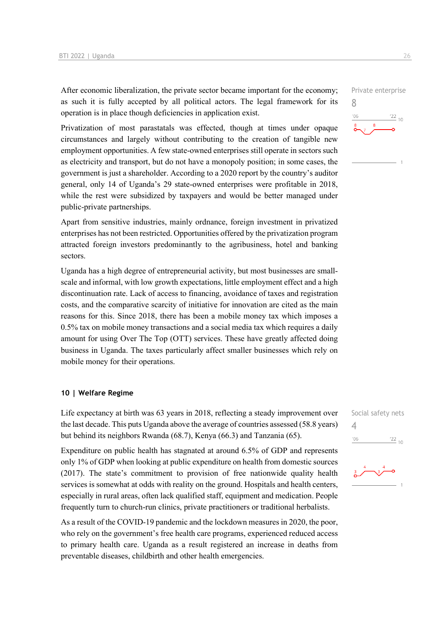After economic liberalization, the private sector became important for the economy; as such it is fully accepted by all political actors. The legal framework for its operation is in place though deficiencies in application exist.

Privatization of most parastatals was effected, though at times under opaque circumstances and largely without contributing to the creation of tangible new employment opportunities. A few state-owned enterprises still operate in sectors such as electricity and transport, but do not have a monopoly position; in some cases, the government is just a shareholder. According to a 2020 report by the country's auditor general, only 14 of Uganda's 29 state-owned enterprises were profitable in 2018, while the rest were subsidized by taxpayers and would be better managed under public-private partnerships.

Apart from sensitive industries, mainly ordnance, foreign investment in privatized enterprises has not been restricted. Opportunities offered by the privatization program attracted foreign investors predominantly to the agribusiness, hotel and banking sectors.

Uganda has a high degree of entrepreneurial activity, but most businesses are smallscale and informal, with low growth expectations, little employment effect and a high discontinuation rate. Lack of access to financing, avoidance of taxes and registration costs, and the comparative scarcity of initiative for innovation are cited as the main reasons for this. Since 2018, there has been a mobile money tax which imposes a 0.5% tax on mobile money transactions and a social media tax which requires a daily amount for using Over The Top (OTT) services. These have greatly affected doing business in Uganda. The taxes particularly affect smaller businesses which rely on mobile money for their operations.

#### **10 | Welfare Regime**

Life expectancy at birth was 63 years in 2018, reflecting a steady improvement over the last decade. This puts Uganda above the average of countries assessed (58.8 years) but behind its neighbors Rwanda (68.7), Kenya (66.3) and Tanzania (65).

Expenditure on public health has stagnated at around 6.5% of GDP and represents only 1% of GDP when looking at public expenditure on health from domestic sources (2017). The state's commitment to provision of free nationwide quality health services is somewhat at odds with reality on the ground. Hospitals and health centers, especially in rural areas, often lack qualified staff, equipment and medication. People frequently turn to church-run clinics, private practitioners or traditional herbalists.

As a result of the COVID-19 pandemic and the lockdown measures in 2020, the poor, who rely on the government's free health care programs, experienced reduced access to primary health care. Uganda as a result registered an increase in deaths from preventable diseases, childbirth and other health emergencies.





8

 $106$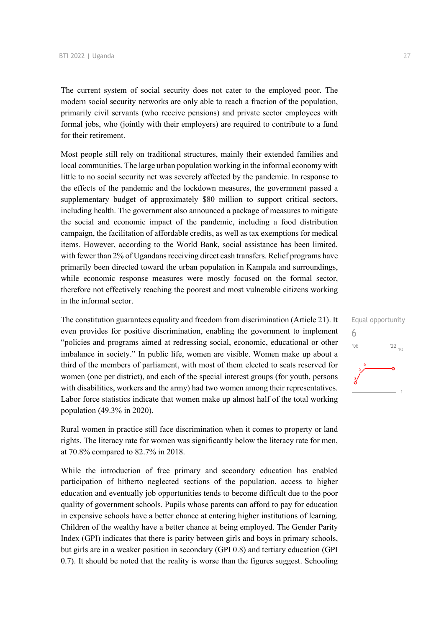The current system of social security does not cater to the employed poor. The modern social security networks are only able to reach a fraction of the population, primarily civil servants (who receive pensions) and private sector employees with formal jobs, who (jointly with their employers) are required to contribute to a fund for their retirement.

Most people still rely on traditional structures, mainly their extended families and local communities. The large urban population working in the informal economy with little to no social security net was severely affected by the pandemic. In response to the effects of the pandemic and the lockdown measures, the government passed a supplementary budget of approximately \$80 million to support critical sectors, including health. The government also announced a package of measures to mitigate the social and economic impact of the pandemic, including a food distribution campaign, the facilitation of affordable credits, as well as tax exemptions for medical items. However, according to the World Bank, social assistance has been limited, with fewer than 2% of Ugandans receiving direct cash transfers. Relief programs have primarily been directed toward the urban population in Kampala and surroundings, while economic response measures were mostly focused on the formal sector, therefore not effectively reaching the poorest and most vulnerable citizens working in the informal sector.

The constitution guarantees equality and freedom from discrimination (Article 21). It even provides for positive discrimination, enabling the government to implement "policies and programs aimed at redressing social, economic, educational or other imbalance in society." In public life, women are visible. Women make up about a third of the members of parliament, with most of them elected to seats reserved for women (one per district), and each of the special interest groups (for youth, persons with disabilities, workers and the army) had two women among their representatives. Labor force statistics indicate that women make up almost half of the total working population (49.3% in 2020).

Rural women in practice still face discrimination when it comes to property or land rights. The literacy rate for women was significantly below the literacy rate for men, at 70.8% compared to 82.7% in 2018.

While the introduction of free primary and secondary education has enabled participation of hitherto neglected sections of the population, access to higher education and eventually job opportunities tends to become difficult due to the poor quality of government schools. Pupils whose parents can afford to pay for education in expensive schools have a better chance at entering higher institutions of learning. Children of the wealthy have a better chance at being employed. The Gender Parity Index (GPI) indicates that there is parity between girls and boys in primary schools, but girls are in a weaker position in secondary (GPI 0.8) and tertiary education (GPI 0.7). It should be noted that the reality is worse than the figures suggest. Schooling

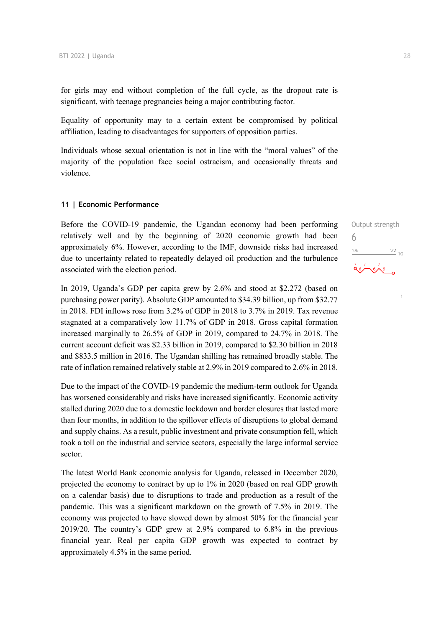for girls may end without completion of the full cycle, as the dropout rate is significant, with teenage pregnancies being a major contributing factor.

Equality of opportunity may to a certain extent be compromised by political affiliation, leading to disadvantages for supporters of opposition parties.

Individuals whose sexual orientation is not in line with the "moral values" of the majority of the population face social ostracism, and occasionally threats and violence.

#### **11 | Economic Performance**

Before the COVID-19 pandemic, the Ugandan economy had been performing relatively well and by the beginning of 2020 economic growth had been approximately 6%. However, according to the IMF, downside risks had increased due to uncertainty related to repeatedly delayed oil production and the turbulence associated with the election period.

In 2019, Uganda's GDP per capita grew by 2.6% and stood at \$2,272 (based on purchasing power parity). Absolute GDP amounted to \$34.39 billion, up from \$32.77 in 2018. FDI inflows rose from 3.2% of GDP in 2018 to 3.7% in 2019. Tax revenue stagnated at a comparatively low 11.7% of GDP in 2018. Gross capital formation increased marginally to 26.5% of GDP in 2019, compared to 24.7% in 2018. The current account deficit was \$2.33 billion in 2019, compared to \$2.30 billion in 2018 and \$833.5 million in 2016. The Ugandan shilling has remained broadly stable. The rate of inflation remained relatively stable at 2.9% in 2019 compared to 2.6% in 2018.

Due to the impact of the COVID-19 pandemic the medium-term outlook for Uganda has worsened considerably and risks have increased significantly. Economic activity stalled during 2020 due to a domestic lockdown and border closures that lasted more than four months, in addition to the spillover effects of disruptions to global demand and supply chains. As a result, public investment and private consumption fell, which took a toll on the industrial and service sectors, especially the large informal service sector.

The latest World Bank economic analysis for Uganda, released in December 2020, projected the economy to contract by up to 1% in 2020 (based on real GDP growth on a calendar basis) due to disruptions to trade and production as a result of the pandemic. This was a significant markdown on the growth of 7.5% in 2019. The economy was projected to have slowed down by almost 50% for the financial year 2019/20. The country's GDP grew at 2.9% compared to 6.8% in the previous financial year. Real per capita GDP growth was expected to contract by approximately 4.5% in the same period.

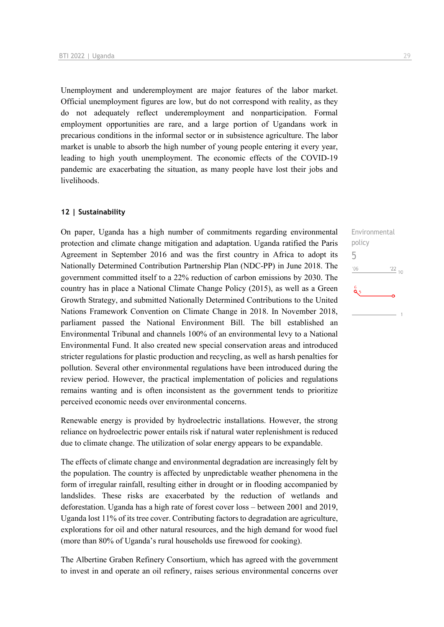Unemployment and underemployment are major features of the labor market. Official unemployment figures are low, but do not correspond with reality, as they do not adequately reflect underemployment and nonparticipation. Formal employment opportunities are rare, and a large portion of Ugandans work in precarious conditions in the informal sector or in subsistence agriculture. The labor market is unable to absorb the high number of young people entering it every year, leading to high youth unemployment. The economic effects of the COVID-19 pandemic are exacerbating the situation, as many people have lost their jobs and livelihoods.

#### **12 | Sustainability**

On paper, Uganda has a high number of commitments regarding environmental protection and climate change mitigation and adaptation. Uganda ratified the Paris Agreement in September 2016 and was the first country in Africa to adopt its Nationally Determined Contribution Partnership Plan (NDC-PP) in June 2018. The government committed itself to a 22% reduction of carbon emissions by 2030. The country has in place a National Climate Change Policy (2015), as well as a Green Growth Strategy, and submitted Nationally Determined Contributions to the United Nations Framework Convention on Climate Change in 2018. In November 2018, parliament passed the National Environment Bill. The bill established an Environmental Tribunal and channels 100% of an environmental levy to a National Environmental Fund. It also created new special conservation areas and introduced stricter regulations for plastic production and recycling, as well as harsh penalties for pollution. Several other environmental regulations have been introduced during the review period. However, the practical implementation of policies and regulations remains wanting and is often inconsistent as the government tends to prioritize perceived economic needs over environmental concerns.

Renewable energy is provided by hydroelectric installations. However, the strong reliance on hydroelectric power entails risk if natural water replenishment is reduced due to climate change. The utilization of solar energy appears to be expandable.

The effects of climate change and environmental degradation are increasingly felt by the population. The country is affected by unpredictable weather phenomena in the form of irregular rainfall, resulting either in drought or in flooding accompanied by landslides. These risks are exacerbated by the reduction of wetlands and deforestation. Uganda has a high rate of forest cover loss – between 2001 and 2019, Uganda lost 11% of its tree cover. Contributing factors to degradation are agriculture, explorations for oil and other natural resources, and the high demand for wood fuel (more than 80% of Uganda's rural households use firewood for cooking).

The Albertine Graben Refinery Consortium, which has agreed with the government to invest in and operate an oil refinery, raises serious environmental concerns over

Environmental policy 5 $-06$  $\frac{22}{10}$ as the set of the set of the set of the set of the set of the set of the set of the set of the set of the set o<br>Set of the set of the set of the set of the set of the set of the set of the set of the set of the set of the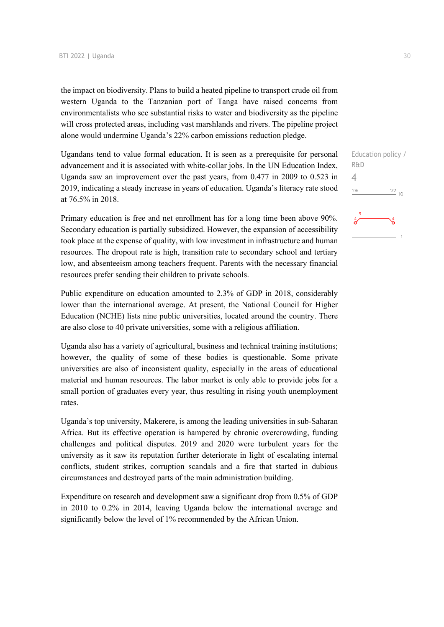the impact on biodiversity. Plans to build a heated pipeline to transport crude oil from western Uganda to the Tanzanian port of Tanga have raised concerns from environmentalists who see substantial risks to water and biodiversity as the pipeline will cross protected areas, including vast marshlands and rivers. The pipeline project alone would undermine Uganda's 22% carbon emissions reduction pledge.

Ugandans tend to value formal education. It is seen as a prerequisite for personal advancement and it is associated with white-collar jobs. In the UN Education Index, Uganda saw an improvement over the past years, from 0.477 in 2009 to 0.523 in 2019, indicating a steady increase in years of education. Uganda's literacy rate stood at 76.5% in 2018.

Primary education is free and net enrollment has for a long time been above 90%. Secondary education is partially subsidized. However, the expansion of accessibility took place at the expense of quality, with low investment in infrastructure and human resources. The dropout rate is high, transition rate to secondary school and tertiary low, and absenteeism among teachers frequent. Parents with the necessary financial resources prefer sending their children to private schools.

Public expenditure on education amounted to 2.3% of GDP in 2018, considerably lower than the international average. At present, the National Council for Higher Education (NCHE) lists nine public universities, located around the country. There are also close to 40 private universities, some with a religious affiliation.

Uganda also has a variety of agricultural, business and technical training institutions; however, the quality of some of these bodies is questionable. Some private universities are also of inconsistent quality, especially in the areas of educational material and human resources. The labor market is only able to provide jobs for a small portion of graduates every year, thus resulting in rising youth unemployment rates.

Uganda's top university, Makerere, is among the leading universities in sub-Saharan Africa. But its effective operation is hampered by chronic overcrowding, funding challenges and political disputes. 2019 and 2020 were turbulent years for the university as it saw its reputation further deteriorate in light of escalating internal conflicts, student strikes, corruption scandals and a fire that started in dubious circumstances and destroyed parts of the main administration building.

Expenditure on research and development saw a significant drop from 0.5% of GDP in 2010 to 0.2% in 2014, leaving Uganda below the international average and significantly below the level of 1% recommended by the African Union.

Education policy / R&D 4 $'06$  $^{22}$  10

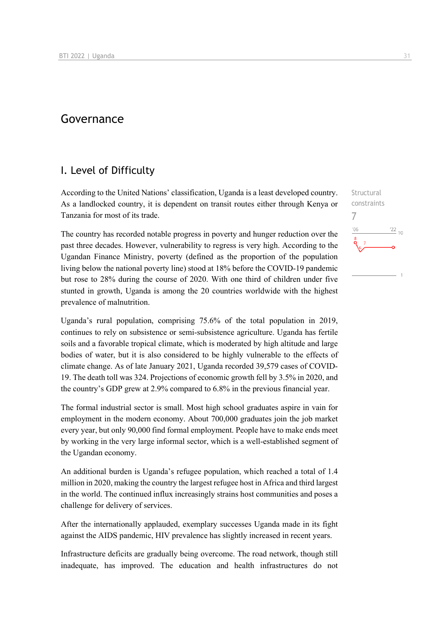## Governance

## I. Level of Difficulty

According to the United Nations' classification, Uganda is a least developed country. As a landlocked country, it is dependent on transit routes either through Kenya or Tanzania for most of its trade.

The country has recorded notable progress in poverty and hunger reduction over the past three decades. However, vulnerability to regress is very high. According to the Ugandan Finance Ministry, poverty (defined as the proportion of the population living below the national poverty line) stood at 18% before the COVID-19 pandemic but rose to 28% during the course of 2020. With one third of children under five stunted in growth, Uganda is among the 20 countries worldwide with the highest prevalence of malnutrition.

Uganda's rural population, comprising 75.6% of the total population in 2019, continues to rely on subsistence or semi-subsistence agriculture. Uganda has fertile soils and a favorable tropical climate, which is moderated by high altitude and large bodies of water, but it is also considered to be highly vulnerable to the effects of climate change. As of late January 2021, Uganda recorded 39,579 cases of COVID-19. The death toll was 324. Projections of economic growth fell by 3.5% in 2020, and the country's GDP grew at 2.9% compared to 6.8% in the previous financial year.

The formal industrial sector is small. Most high school graduates aspire in vain for employment in the modern economy. About 700,000 graduates join the job market every year, but only 90,000 find formal employment. People have to make ends meet by working in the very large informal sector, which is a well-established segment of the Ugandan economy.

An additional burden is Uganda's refugee population, which reached a total of 1.4 million in 2020, making the country the largest refugee host in Africa and third largest in the world. The continued influx increasingly strains host communities and poses a challenge for delivery of services.

After the internationally applauded, exemplary successes Uganda made in its fight against the AIDS pandemic, HIV prevalence has slightly increased in recent years.

Infrastructure deficits are gradually being overcome. The road network, though still inadequate, has improved. The education and health infrastructures do not

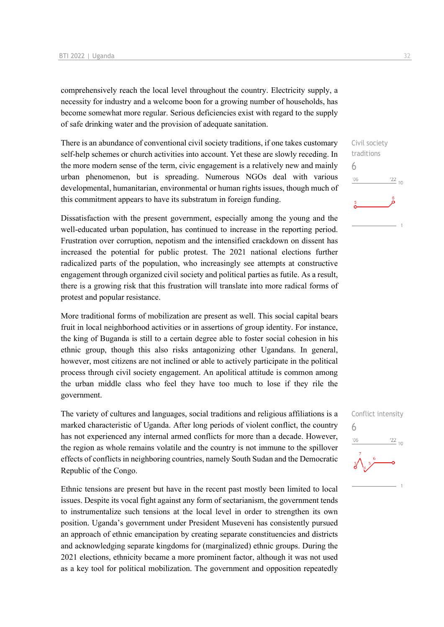comprehensively reach the local level throughout the country. Electricity supply, a necessity for industry and a welcome boon for a growing number of households, has become somewhat more regular. Serious deficiencies exist with regard to the supply of safe drinking water and the provision of adequate sanitation.

There is an abundance of conventional civil society traditions, if one takes customary self-help schemes or church activities into account. Yet these are slowly receding. In the more modern sense of the term, civic engagement is a relatively new and mainly urban phenomenon, but is spreading. Numerous NGOs deal with various developmental, humanitarian, environmental or human rights issues, though much of this commitment appears to have its substratum in foreign funding.

Dissatisfaction with the present government, especially among the young and the well-educated urban population, has continued to increase in the reporting period. Frustration over corruption, nepotism and the intensified crackdown on dissent has increased the potential for public protest. The 2021 national elections further radicalized parts of the population, who increasingly see attempts at constructive engagement through organized civil society and political parties as futile. As a result, there is a growing risk that this frustration will translate into more radical forms of protest and popular resistance.

More traditional forms of mobilization are present as well. This social capital bears fruit in local neighborhood activities or in assertions of group identity. For instance, the king of Buganda is still to a certain degree able to foster social cohesion in his ethnic group, though this also risks antagonizing other Ugandans. In general, however, most citizens are not inclined or able to actively participate in the political process through civil society engagement. An apolitical attitude is common among the urban middle class who feel they have too much to lose if they rile the government.

The variety of cultures and languages, social traditions and religious affiliations is a marked characteristic of Uganda. After long periods of violent conflict, the country has not experienced any internal armed conflicts for more than a decade. However, the region as whole remains volatile and the country is not immune to the spillover effects of conflicts in neighboring countries, namely South Sudan and the Democratic Republic of the Congo.

Ethnic tensions are present but have in the recent past mostly been limited to local issues. Despite its vocal fight against any form of sectarianism, the government tends to instrumentalize such tensions at the local level in order to strengthen its own position. Uganda's government under President Museveni has consistently pursued an approach of ethnic emancipation by creating separate constituencies and districts and acknowledging separate kingdoms for (marginalized) ethnic groups. During the 2021 elections, ethnicity became a more prominent factor, although it was not used as a key tool for political mobilization. The government and opposition repeatedly

Civil society traditions 6  $106$  $\frac{22}{10}$ 

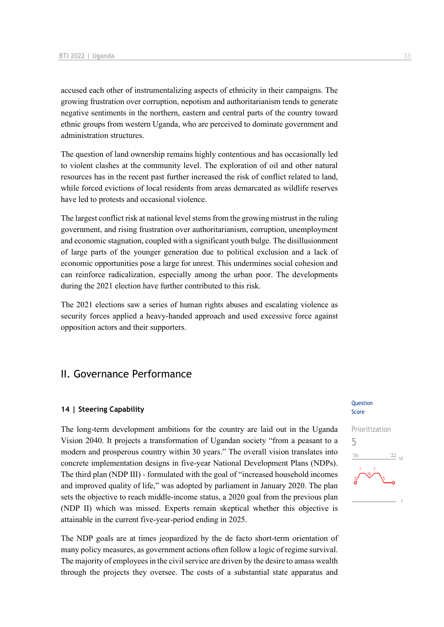accused each other of instrumentalizing aspects of ethnicity in their campaigns. The growing frustration over corruption, nepotism and authoritarianism tends to generate negative sentiments in the northern, eastern and central parts of the country toward ethnic groups from western Uganda, who are perceived to dominate government and administration structures.

The question of land ownership remains highly contentious and has occasionally led to violent clashes at the community level. The exploration of oil and other natural resources has in the recent past further increased the risk of conflict related to land, while forced evictions of local residents from areas demarcated as wildlife reserves have led to protests and occasional violence.

The largest conflict risk at national level stems from the growing mistrust in the ruling government, and rising frustration over authoritarianism, corruption, unemployment and economic stagnation, coupled with a significant youth bulge. The disillusionment of large parts of the younger generation due to political exclusion and a lack of economic opportunities pose a large for unrest. This undermines social cohesion and can reinforce radicalization, especially among the urban poor. The developments during the 2021 election have further contributed to this risk.

The 2021 elections saw a series of human rights abuses and escalating violence as security forces applied a heavy-handed approach and used excessive force against opposition actors and their supporters.

## II. Governance Performance

#### **14 | Steering Capability**

The long-term development ambitions for the country are laid out in the Uganda Vision 2040. It projects a transformation of Ugandan society "from a peasant to a modern and prosperous country within 30 years." The overall vision translates into concrete implementation designs in five-year National Development Plans (NDPs). The third plan (NDP III) - formulated with the goal of "increased household incomes and improved quality of life," was adopted by parliament in January 2020. The plan sets the objective to reach middle-income status, a 2020 goal from the previous plan (NDP II) which was missed. Experts remain skeptical whether this objective is attainable in the current five-year-period ending in 2025.

The NDP goals are at times jeopardized by the de facto short-term orientation of many policy measures, as government actions often follow a logic of regime survival. The majority of employees in the civil service are driven by the desire to amass wealth through the projects they oversee. The costs of a substantial state apparatus and

#### Question Score

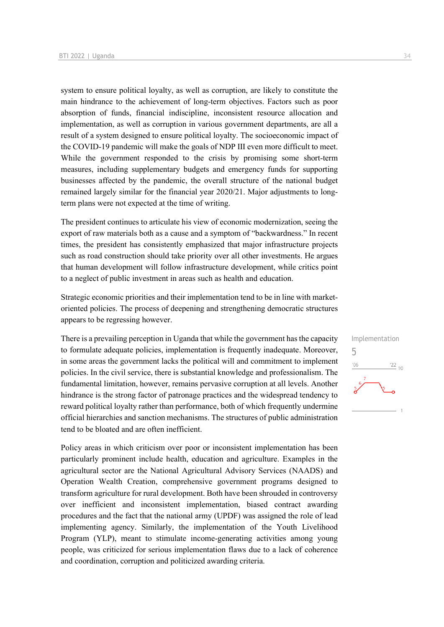system to ensure political loyalty, as well as corruption, are likely to constitute the main hindrance to the achievement of long-term objectives. Factors such as poor absorption of funds, financial indiscipline, inconsistent resource allocation and implementation, as well as corruption in various government departments, are all a result of a system designed to ensure political loyalty. The socioeconomic impact of the COVID-19 pandemic will make the goals of NDP III even more difficult to meet. While the government responded to the crisis by promising some short-term measures, including supplementary budgets and emergency funds for supporting businesses affected by the pandemic, the overall structure of the national budget remained largely similar for the financial year 2020/21. Major adjustments to longterm plans were not expected at the time of writing.

The president continues to articulate his view of economic modernization, seeing the export of raw materials both as a cause and a symptom of "backwardness." In recent times, the president has consistently emphasized that major infrastructure projects such as road construction should take priority over all other investments. He argues that human development will follow infrastructure development, while critics point to a neglect of public investment in areas such as health and education.

Strategic economic priorities and their implementation tend to be in line with marketoriented policies. The process of deepening and strengthening democratic structures appears to be regressing however.

There is a prevailing perception in Uganda that while the government has the capacity to formulate adequate policies, implementation is frequently inadequate. Moreover, in some areas the government lacks the political will and commitment to implement policies. In the civil service, there is substantial knowledge and professionalism. The fundamental limitation, however, remains pervasive corruption at all levels. Another hindrance is the strong factor of patronage practices and the widespread tendency to reward political loyalty rather than performance, both of which frequently undermine official hierarchies and sanction mechanisms. The structures of public administration tend to be bloated and are often inefficient.

Policy areas in which criticism over poor or inconsistent implementation has been particularly prominent include health, education and agriculture. Examples in the agricultural sector are the National Agricultural Advisory Services (NAADS) and Operation Wealth Creation, comprehensive government programs designed to transform agriculture for rural development. Both have been shrouded in controversy over inefficient and inconsistent implementation, biased contract awarding procedures and the fact that the national army (UPDF) was assigned the role of lead implementing agency. Similarly, the implementation of the Youth Livelihood Program (YLP), meant to stimulate income-generating activities among young people, was criticized for serious implementation flaws due to a lack of coherence and coordination, corruption and politicized awarding criteria.

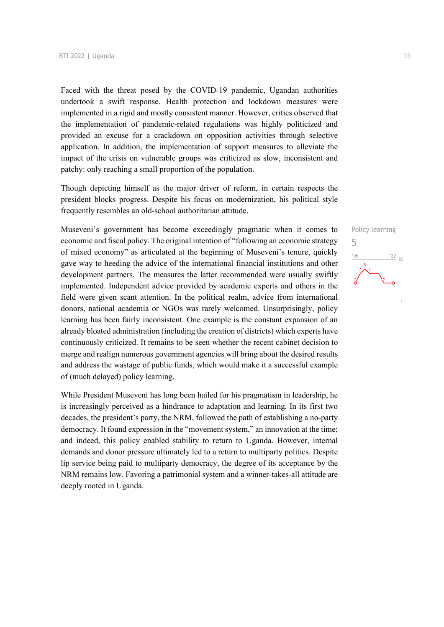Faced with the threat posed by the COVID-19 pandemic, Ugandan authorities undertook a swift response. Health protection and lockdown measures were implemented in a rigid and mostly consistent manner. However, critics observed that the implementation of pandemic-related regulations was highly politicized and provided an excuse for a crackdown on opposition activities through selective application. In addition, the implementation of support measures to alleviate the impact of the crisis on vulnerable groups was criticized as slow, inconsistent and patchy: only reaching a small proportion of the population.

Though depicting himself as the major driver of reform, in certain respects the president blocks progress. Despite his focus on modernization, his political style frequently resembles an old-school authoritarian attitude.

Museveni's government has become exceedingly pragmatic when it comes to economic and fiscal policy. The original intention of "following an economic strategy of mixed economy" as articulated at the beginning of Museveni's tenure, quickly gave way to heeding the advice of the international financial institutions and other development partners. The measures the latter recommended were usually swiftly implemented. Independent advice provided by academic experts and others in the field were given scant attention. In the political realm, advice from international donors, national academia or NGOs was rarely welcomed. Unsurprisingly, policy learning has been fairly inconsistent. One example is the constant expansion of an already bloated administration (including the creation of districts) which experts have continuously criticized. It remains to be seen whether the recent cabinet decision to merge and realign numerous government agencies will bring about the desired results and address the wastage of public funds, which would make it a successful example of (much delayed) policy learning.

While President Museveni has long been hailed for his pragmatism in leadership, he is increasingly perceived as a hindrance to adaptation and learning. In its first two decades, the president's party, the NRM, followed the path of establishing a no-party democracy. It found expression in the "movement system," an innovation at the time; and indeed, this policy enabled stability to return to Uganda. However, internal demands and donor pressure ultimately led to a return to multiparty politics. Despite lip service being paid to multiparty democracy, the degree of its acceptance by the NRM remains low. Favoring a patrimonial system and a winner-takes-all attitude are deeply rooted in Uganda.

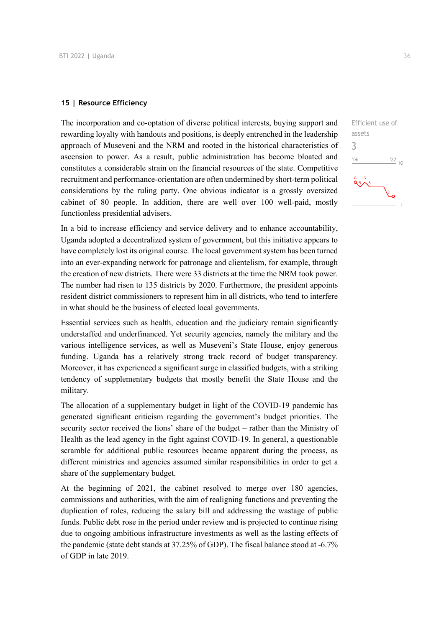#### **15 | Resource Efficiency**

The incorporation and co-optation of diverse political interests, buying support and rewarding loyalty with handouts and positions, is deeply entrenched in the leadership approach of Museveni and the NRM and rooted in the historical characteristics of ascension to power. As a result, public administration has become bloated and constitutes a considerable strain on the financial resources of the state. Competitive recruitment and performance-orientation are often undermined by short-term political considerations by the ruling party. One obvious indicator is a grossly oversized cabinet of 80 people. In addition, there are well over 100 well-paid, mostly functionless presidential advisers.

In a bid to increase efficiency and service delivery and to enhance accountability, Uganda adopted a decentralized system of government, but this initiative appears to have completely lost its original course. The local government system has been turned into an ever-expanding network for patronage and clientelism, for example, through the creation of new districts. There were 33 districts at the time the NRM took power. The number had risen to 135 districts by 2020. Furthermore, the president appoints resident district commissioners to represent him in all districts, who tend to interfere in what should be the business of elected local governments.

Essential services such as health, education and the judiciary remain significantly understaffed and underfinanced. Yet security agencies, namely the military and the various intelligence services, as well as Museveni's State House, enjoy generous funding. Uganda has a relatively strong track record of budget transparency. Moreover, it has experienced a significant surge in classified budgets, with a striking tendency of supplementary budgets that mostly benefit the State House and the military.

The allocation of a supplementary budget in light of the COVID-19 pandemic has generated significant criticism regarding the government's budget priorities. The security sector received the lions' share of the budget – rather than the Ministry of Health as the lead agency in the fight against COVID-19. In general, a questionable scramble for additional public resources became apparent during the process, as different ministries and agencies assumed similar responsibilities in order to get a share of the supplementary budget.

At the beginning of 2021, the cabinet resolved to merge over 180 agencies, commissions and authorities, with the aim of realigning functions and preventing the duplication of roles, reducing the salary bill and addressing the wastage of public funds. Public debt rose in the period under review and is projected to continue rising due to ongoing ambitious infrastructure investments as well as the lasting effects of the pandemic (state debt stands at 37.25% of GDP). The fiscal balance stood at -6.7% of GDP in late 2019.

3 $06'$ 

 $85 - 5$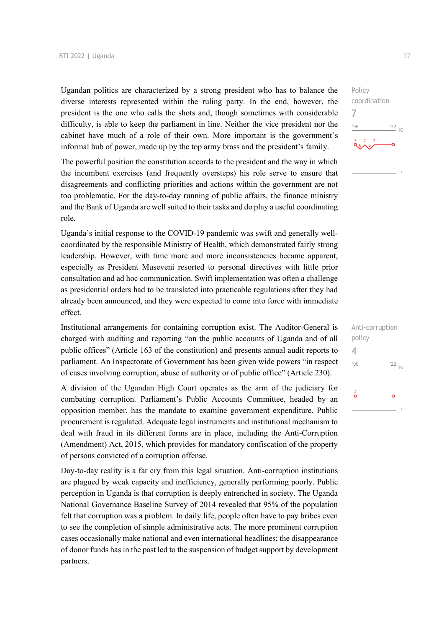Ugandan politics are characterized by a strong president who has to balance the diverse interests represented within the ruling party. In the end, however, the president is the one who calls the shots and, though sometimes with considerable difficulty, is able to keep the parliament in line. Neither the vice president nor the cabinet have much of a role of their own. More important is the government's informal hub of power, made up by the top army brass and the president's family.

The powerful position the constitution accords to the president and the way in which the incumbent exercises (and frequently oversteps) his role serve to ensure that disagreements and conflicting priorities and actions within the government are not too problematic. For the day-to-day running of public affairs, the finance ministry and the Bank of Uganda are well suited to their tasks and do play a useful coordinating role.

Uganda's initial response to the COVID-19 pandemic was swift and generally wellcoordinated by the responsible Ministry of Health, which demonstrated fairly strong leadership. However, with time more and more inconsistencies became apparent, especially as President Museveni resorted to personal directives with little prior consultation and ad hoc communication. Swift implementation was often a challenge as presidential orders had to be translated into practicable regulations after they had already been announced, and they were expected to come into force with immediate effect.

Institutional arrangements for containing corruption exist. The Auditor-General is charged with auditing and reporting "on the public accounts of Uganda and of all public offices" (Article 163 of the constitution) and presents annual audit reports to parliament. An Inspectorate of Government has been given wide powers "in respect of cases involving corruption, abuse of authority or of public office" (Article 230).

A division of the Ugandan High Court operates as the arm of the judiciary for combating corruption. Parliament's Public Accounts Committee, headed by an opposition member, has the mandate to examine government expenditure. Public procurement is regulated. Adequate legal instruments and institutional mechanism to deal with fraud in its different forms are in place, including the Anti-Corruption (Amendment) Act, 2015, which provides for mandatory confiscation of the property of persons convicted of a corruption offense.

Day-to-day reality is a far cry from this legal situation. Anti-corruption institutions are plagued by weak capacity and inefficiency, generally performing poorly. Public perception in Uganda is that corruption is deeply entrenched in society. The Uganda National Governance Baseline Survey of 2014 revealed that 95% of the population felt that corruption was a problem. In daily life, people often have to pay bribes even to see the completion of simple administrative acts. The more prominent corruption cases occasionally make national and even international headlines; the disappearance of donor funds has in the past led to the suspension of budget support by development partners.

Policy coordination 7  $-06$  $^{22}$  10

| Anti-corruption<br>policy |                 |
|---------------------------|-----------------|
| 4                         |                 |
| '06                       | $\frac{22}{10}$ |
| 4                         |                 |
|                           |                 |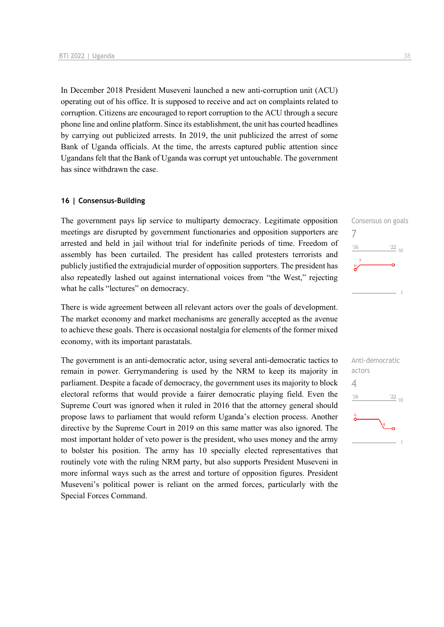In December 2018 President Museveni launched a new anti-corruption unit (ACU) operating out of his office. It is supposed to receive and act on complaints related to corruption. Citizens are encouraged to report corruption to the ACU through a secure phone line and online platform. Since its establishment, the unit has courted headlines by carrying out publicized arrests. In 2019, the unit publicized the arrest of some Bank of Uganda officials. At the time, the arrests captured public attention since Ugandans felt that the Bank of Uganda was corrupt yet untouchable. The government has since withdrawn the case.

#### **16 | Consensus-Building**

The government pays lip service to multiparty democracy. Legitimate opposition meetings are disrupted by government functionaries and opposition supporters are arrested and held in jail without trial for indefinite periods of time. Freedom of assembly has been curtailed. The president has called protesters terrorists and publicly justified the extrajudicial murder of opposition supporters. The president has also repeatedly lashed out against international voices from "the West," rejecting what he calls "lectures" on democracy.

There is wide agreement between all relevant actors over the goals of development. The market economy and market mechanisms are generally accepted as the avenue to achieve these goals. There is occasional nostalgia for elements of the former mixed economy, with its important parastatals.

The government is an anti-democratic actor, using several anti-democratic tactics to remain in power. Gerrymandering is used by the NRM to keep its majority in parliament. Despite a facade of democracy, the government uses its majority to block electoral reforms that would provide a fairer democratic playing field. Even the Supreme Court was ignored when it ruled in 2016 that the attorney general should propose laws to parliament that would reform Uganda's election process. Another directive by the Supreme Court in 2019 on this same matter was also ignored. The most important holder of veto power is the president, who uses money and the army to bolster his position. The army has 10 specially elected representatives that routinely vote with the ruling NRM party, but also supports President Museveni in more informal ways such as the arrest and torture of opposition figures. President Museveni's political power is reliant on the armed forces, particularly with the Special Forces Command.



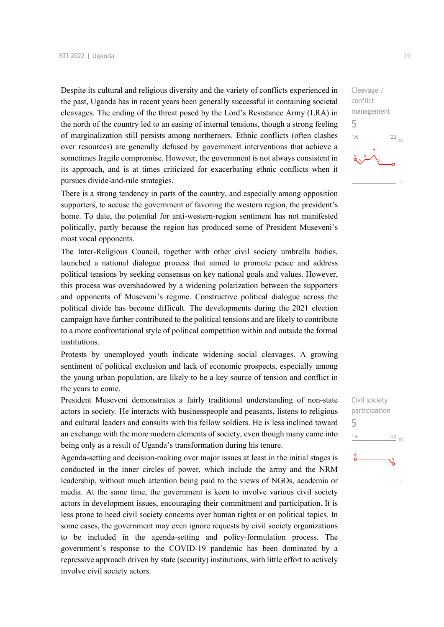Despite its cultural and religious diversity and the variety of conflicts experienced in the past, Uganda has in recent years been generally successful in containing societal cleavages. The ending of the threat posed by the Lord's Resistance Army (LRA) in the north of the country led to an easing of internal tensions, though a strong feeling of marginalization still persists among northerners. Ethnic conflicts (often clashes over resources) are generally defused by government interventions that achieve a sometimes fragile compromise. However, the government is not always consistent in its approach, and is at times criticized for exacerbating ethnic conflicts when it pursues divide-and-rule strategies.

There is a strong tendency in parts of the country, and especially among opposition supporters, to accuse the government of favoring the western region, the president's home. To date, the potential for anti-western-region sentiment has not manifested politically, partly because the region has produced some of President Museveni's most vocal opponents.

The Inter-Religious Council, together with other civil society umbrella bodies, launched a national dialogue process that aimed to promote peace and address political tensions by seeking consensus on key national goals and values. However, this process was overshadowed by a widening polarization between the supporters and opponents of Museveni's regime. Constructive political dialogue across the political divide has become difficult. The developments during the 2021 election campaign have further contributed to the political tensions and are likely to contribute to a more confrontational style of political competition within and outside the formal institutions.

Protests by unemployed youth indicate widening social cleavages. A growing sentiment of political exclusion and lack of economic prospects, especially among the young urban population, are likely to be a key source of tension and conflict in the years to come.

President Museveni demonstrates a fairly traditional understanding of non-state actors in society. He interacts with businesspeople and peasants, listens to religious and cultural leaders and consults with his fellow soldiers. He is less inclined toward an exchange with the more modern elements of society, even though many came into being only as a result of Uganda's transformation during his tenure.

Agenda-setting and decision-making over major issues at least in the initial stages is conducted in the inner circles of power, which include the army and the NRM leadership, without much attention being paid to the views of NGOs, academia or media. At the same time, the government is keen to involve various civil society actors in development issues, encouraging their commitment and participation. It is less prone to heed civil society concerns over human rights or on political topics. In some cases, the government may even ignore requests by civil society organizations to be included in the agenda-setting and policy-formulation process. The government's response to the COVID-19 pandemic has been dominated by a repressive approach driven by state (security) institutions, with little effort to actively involve civil society actors.

Cleavage / conflict management 5  $\frac{22}{10}$  $n<sub>0</sub>$ 

Civil society participation 5 $'06$  $\frac{22}{10}$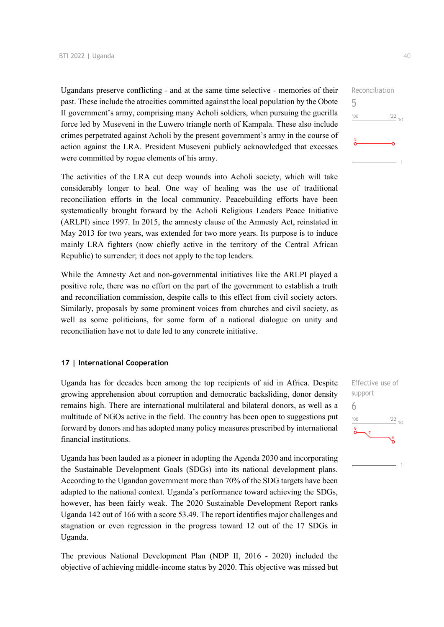Ugandans preserve conflicting - and at the same time selective - memories of their past. These include the atrocities committed against the local population by the Obote II government's army, comprising many Acholi soldiers, when pursuing the guerilla force led by Museveni in the Luwero triangle north of Kampala. These also include crimes perpetrated against Acholi by the present government's army in the course of action against the LRA. President Museveni publicly acknowledged that excesses were committed by rogue elements of his army.

The activities of the LRA cut deep wounds into Acholi society, which will take considerably longer to heal. One way of healing was the use of traditional reconciliation efforts in the local community. Peacebuilding efforts have been systematically brought forward by the Acholi Religious Leaders Peace Initiative (ARLPI) since 1997. In 2015, the amnesty clause of the Amnesty Act, reinstated in May 2013 for two years, was extended for two more years. Its purpose is to induce mainly LRA fighters (now chiefly active in the territory of the Central African Republic) to surrender; it does not apply to the top leaders.

While the Amnesty Act and non-governmental initiatives like the ARLPI played a positive role, there was no effort on the part of the government to establish a truth and reconciliation commission, despite calls to this effect from civil society actors. Similarly, proposals by some prominent voices from churches and civil society, as well as some politicians, for some form of a national dialogue on unity and reconciliation have not to date led to any concrete initiative.

#### **17 | International Cooperation**

Uganda has for decades been among the top recipients of aid in Africa. Despite growing apprehension about corruption and democratic backsliding, donor density remains high. There are international multilateral and bilateral donors, as well as a multitude of NGOs active in the field. The country has been open to suggestions put forward by donors and has adopted many policy measures prescribed by international financial institutions.

Uganda has been lauded as a pioneer in adopting the Agenda 2030 and incorporating the Sustainable Development Goals (SDGs) into its national development plans. According to the Ugandan government more than 70% of the SDG targets have been adapted to the national context. Uganda's performance toward achieving the SDGs, however, has been fairly weak. The 2020 Sustainable Development Report ranks Uganda 142 out of 166 with a score 53.49. The report identifies major challenges and stagnation or even regression in the progress toward 12 out of the 17 SDGs in Uganda.

The previous National Development Plan (NDP II, 2016 - 2020) included the objective of achieving middle-income status by 2020. This objective was missed but



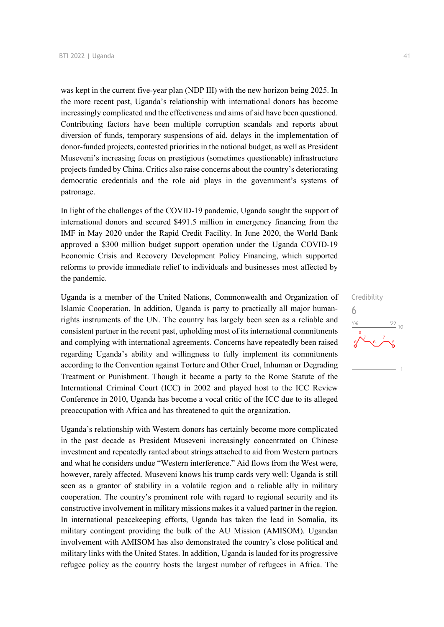was kept in the current five-year plan (NDP III) with the new horizon being 2025. In the more recent past, Uganda's relationship with international donors has become increasingly complicated and the effectiveness and aims of aid have been questioned. Contributing factors have been multiple corruption scandals and reports about diversion of funds, temporary suspensions of aid, delays in the implementation of donor-funded projects, contested priorities in the national budget, as well as President Museveni's increasing focus on prestigious (sometimes questionable) infrastructure projects funded by China. Critics also raise concerns about the country's deteriorating democratic credentials and the role aid plays in the government's systems of patronage.

In light of the challenges of the COVID-19 pandemic, Uganda sought the support of international donors and secured \$491.5 million in emergency financing from the IMF in May 2020 under the Rapid Credit Facility. In June 2020, the World Bank approved a \$300 million budget support operation under the Uganda COVID-19 Economic Crisis and Recovery Development Policy Financing, which supported reforms to provide immediate relief to individuals and businesses most affected by the pandemic.

Uganda is a member of the United Nations, Commonwealth and Organization of Islamic Cooperation. In addition, Uganda is party to practically all major humanrights instruments of the UN. The country has largely been seen as a reliable and consistent partner in the recent past, upholding most of its international commitments and complying with international agreements. Concerns have repeatedly been raised regarding Uganda's ability and willingness to fully implement its commitments according to the Convention against Torture and Other Cruel, Inhuman or Degrading Treatment or Punishment. Though it became a party to the Rome Statute of the International Criminal Court (ICC) in 2002 and played host to the ICC Review Conference in 2010, Uganda has become a vocal critic of the ICC due to its alleged preoccupation with Africa and has threatened to quit the organization.

Uganda's relationship with Western donors has certainly become more complicated in the past decade as President Museveni increasingly concentrated on Chinese investment and repeatedly ranted about strings attached to aid from Western partners and what he considers undue "Western interference." Aid flows from the West were, however, rarely affected. Museveni knows his trump cards very well: Uganda is still seen as a grantor of stability in a volatile region and a reliable ally in military cooperation. The country's prominent role with regard to regional security and its constructive involvement in military missions makes it a valued partner in the region. In international peacekeeping efforts, Uganda has taken the lead in Somalia, its military contingent providing the bulk of the AU Mission (AMISOM). Ugandan involvement with AMISOM has also demonstrated the country's close political and military links with the United States. In addition, Uganda is lauded for its progressive refugee policy as the country hosts the largest number of refugees in Africa. The Credibility 6 $\frac{22}{10}$  $-06$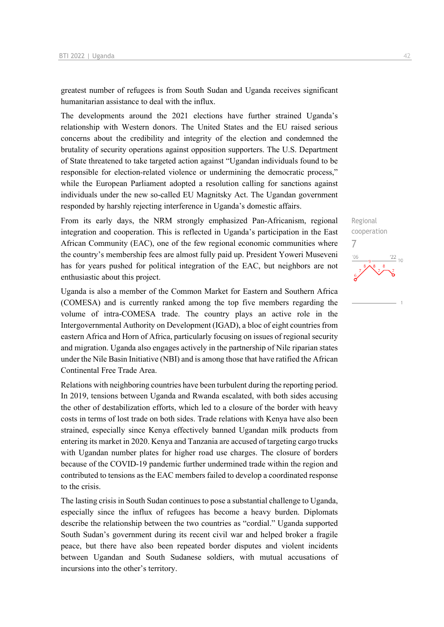greatest number of refugees is from South Sudan and Uganda receives significant humanitarian assistance to deal with the influx.

The developments around the 2021 elections have further strained Uganda's relationship with Western donors. The United States and the EU raised serious concerns about the credibility and integrity of the election and condemned the brutality of security operations against opposition supporters. The U.S. Department of State threatened to take targeted action against "Ugandan individuals found to be responsible for election-related violence or undermining the democratic process," while the European Parliament adopted a resolution calling for sanctions against individuals under the new so-called EU Magnitsky Act. The Ugandan government responded by harshly rejecting interference in Uganda's domestic affairs.

From its early days, the NRM strongly emphasized Pan-Africanism, regional integration and cooperation. This is reflected in Uganda's participation in the East African Community (EAC), one of the few regional economic communities where the country's membership fees are almost fully paid up. President Yoweri Museveni has for years pushed for political integration of the EAC, but neighbors are not enthusiastic about this project.

Uganda is also a member of the Common Market for Eastern and Southern Africa (COMESA) and is currently ranked among the top five members regarding the volume of intra-COMESA trade. The country plays an active role in the Intergovernmental Authority on Development (IGAD), a bloc of eight countries from eastern Africa and Horn of Africa, particularly focusing on issues of regional security and migration. Uganda also engages actively in the partnership of Nile riparian states under the Nile Basin Initiative (NBI) and is among those that have ratified the African Continental Free Trade Area.

Relations with neighboring countries have been turbulent during the reporting period. In 2019, tensions between Uganda and Rwanda escalated, with both sides accusing the other of destabilization efforts, which led to a closure of the border with heavy costs in terms of lost trade on both sides. Trade relations with Kenya have also been strained, especially since Kenya effectively banned Ugandan milk products from entering its market in 2020. Kenya and Tanzania are accused of targeting cargo trucks with Ugandan number plates for higher road use charges. The closure of borders because of the COVID-19 pandemic further undermined trade within the region and contributed to tensions as the EAC members failed to develop a coordinated response to the crisis.

The lasting crisis in South Sudan continues to pose a substantial challenge to Uganda, especially since the influx of refugees has become a heavy burden. Diplomats describe the relationship between the two countries as "cordial." Uganda supported South Sudan's government during its recent civil war and helped broker a fragile peace, but there have also been repeated border disputes and violent incidents between Ugandan and South Sudanese soldiers, with mutual accusations of incursions into the other's territory.

Regional cooperation  $\frac{22}{10}$ 

7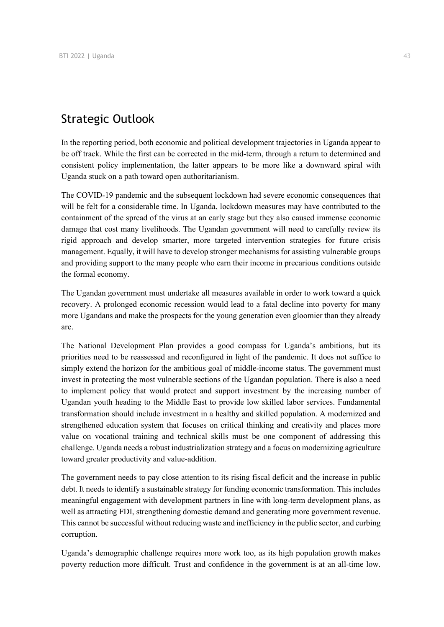## Strategic Outlook

In the reporting period, both economic and political development trajectories in Uganda appear to be off track. While the first can be corrected in the mid-term, through a return to determined and consistent policy implementation, the latter appears to be more like a downward spiral with Uganda stuck on a path toward open authoritarianism.

The COVID-19 pandemic and the subsequent lockdown had severe economic consequences that will be felt for a considerable time. In Uganda, lockdown measures may have contributed to the containment of the spread of the virus at an early stage but they also caused immense economic damage that cost many livelihoods. The Ugandan government will need to carefully review its rigid approach and develop smarter, more targeted intervention strategies for future crisis management. Equally, it will have to develop stronger mechanisms for assisting vulnerable groups and providing support to the many people who earn their income in precarious conditions outside the formal economy.

The Ugandan government must undertake all measures available in order to work toward a quick recovery. A prolonged economic recession would lead to a fatal decline into poverty for many more Ugandans and make the prospects for the young generation even gloomier than they already are.

The National Development Plan provides a good compass for Uganda's ambitions, but its priorities need to be reassessed and reconfigured in light of the pandemic. It does not suffice to simply extend the horizon for the ambitious goal of middle-income status. The government must invest in protecting the most vulnerable sections of the Ugandan population. There is also a need to implement policy that would protect and support investment by the increasing number of Ugandan youth heading to the Middle East to provide low skilled labor services. Fundamental transformation should include investment in a healthy and skilled population. A modernized and strengthened education system that focuses on critical thinking and creativity and places more value on vocational training and technical skills must be one component of addressing this challenge. Uganda needs a robust industrialization strategy and a focus on modernizing agriculture toward greater productivity and value-addition.

The government needs to pay close attention to its rising fiscal deficit and the increase in public debt. It needs to identify a sustainable strategy for funding economic transformation. This includes meaningful engagement with development partners in line with long-term development plans, as well as attracting FDI, strengthening domestic demand and generating more government revenue. This cannot be successful without reducing waste and inefficiency in the public sector, and curbing corruption.

Uganda's demographic challenge requires more work too, as its high population growth makes poverty reduction more difficult. Trust and confidence in the government is at an all-time low.